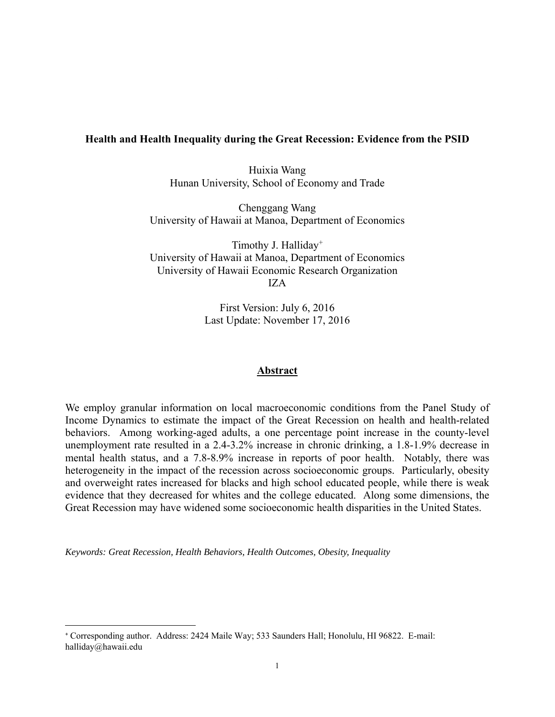## **Health and Health Inequality during the Great Recession: Evidence from the PSID**

Huixia Wang Hunan University, School of Economy and Trade

Chenggang Wang University of Hawaii at Manoa, Department of Economics

Timothy J. Halliday+ University of Hawaii at Manoa, Department of Economics University of Hawaii Economic Research Organization IZA

> First Version: July 6, 2016 Last Update: November 17, 2016

### **Abstract**

We employ granular information on local macroeconomic conditions from the Panel Study of Income Dynamics to estimate the impact of the Great Recession on health and health-related behaviors. Among working-aged adults, a one percentage point increase in the county-level unemployment rate resulted in a 2.4-3.2% increase in chronic drinking, a 1.8-1.9% decrease in mental health status, and a 7.8-8.9% increase in reports of poor health. Notably, there was heterogeneity in the impact of the recession across socioeconomic groups. Particularly, obesity and overweight rates increased for blacks and high school educated people, while there is weak evidence that they decreased for whites and the college educated. Along some dimensions, the Great Recession may have widened some socioeconomic health disparities in the United States.

*Keywords: Great Recession, Health Behaviors, Health Outcomes, Obesity, Inequality* 

<sup>+</sup> Corresponding author. Address: 2424 Maile Way; 533 Saunders Hall; Honolulu, HI 96822. E-mail: halliday@hawaii.edu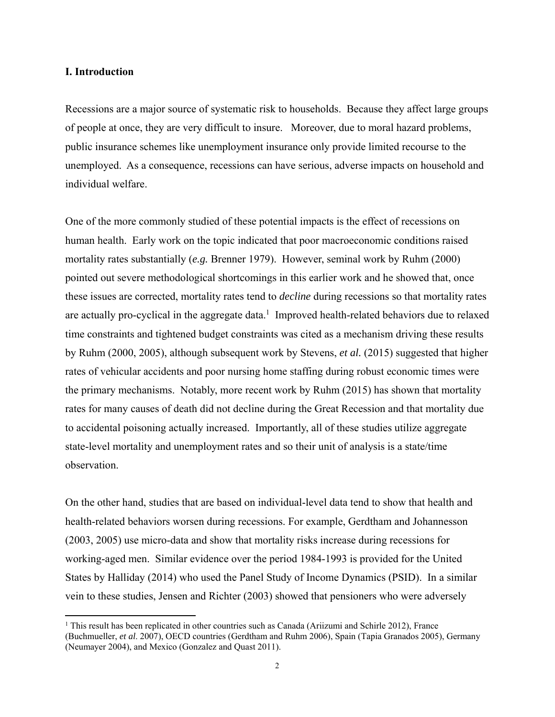## **I. Introduction**

Recessions are a major source of systematic risk to households. Because they affect large groups of people at once, they are very difficult to insure. Moreover, due to moral hazard problems, public insurance schemes like unemployment insurance only provide limited recourse to the unemployed. As a consequence, recessions can have serious, adverse impacts on household and individual welfare.

One of the more commonly studied of these potential impacts is the effect of recessions on human health. Early work on the topic indicated that poor macroeconomic conditions raised mortality rates substantially (*e.g.* Brenner 1979). However, seminal work by Ruhm (2000) pointed out severe methodological shortcomings in this earlier work and he showed that, once these issues are corrected, mortality rates tend to *decline* during recessions so that mortality rates are actually pro-cyclical in the aggregate data.<sup>1</sup> Improved health-related behaviors due to relaxed time constraints and tightened budget constraints was cited as a mechanism driving these results by Ruhm (2000, 2005), although subsequent work by Stevens, *et al.* (2015) suggested that higher rates of vehicular accidents and poor nursing home staffing during robust economic times were the primary mechanisms. Notably, more recent work by Ruhm (2015) has shown that mortality rates for many causes of death did not decline during the Great Recession and that mortality due to accidental poisoning actually increased. Importantly, all of these studies utilize aggregate state-level mortality and unemployment rates and so their unit of analysis is a state/time observation.

On the other hand, studies that are based on individual-level data tend to show that health and health-related behaviors worsen during recessions. For example, Gerdtham and Johannesson (2003, 2005) use micro-data and show that mortality risks increase during recessions for working-aged men. Similar evidence over the period 1984-1993 is provided for the United States by Halliday (2014) who used the Panel Study of Income Dynamics (PSID). In a similar vein to these studies, Jensen and Richter (2003) showed that pensioners who were adversely

<sup>&</sup>lt;sup>1</sup> This result has been replicated in other countries such as Canada (Ariizumi and Schirle 2012), France (Buchmueller, *et al*. 2007), OECD countries (Gerdtham and Ruhm 2006), Spain (Tapia Granados 2005), Germany (Neumayer 2004), and Mexico (Gonzalez and Quast 2011).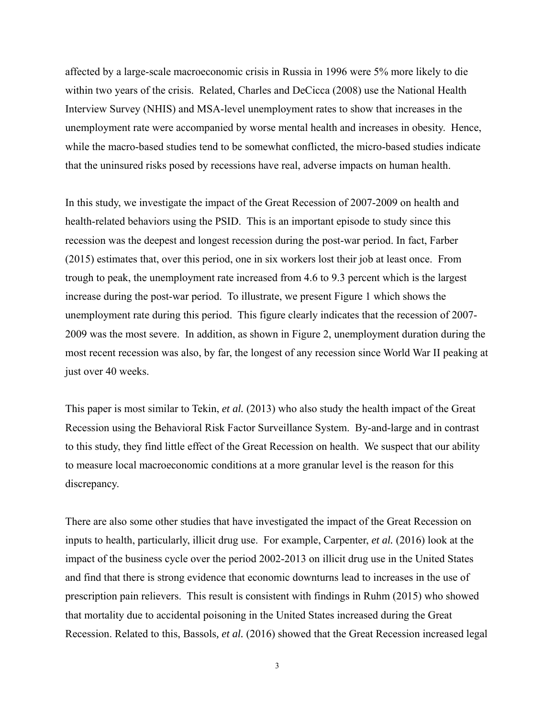affected by a large-scale macroeconomic crisis in Russia in 1996 were 5% more likely to die within two years of the crisis. Related, Charles and DeCicca (2008) use the National Health Interview Survey (NHIS) and MSA-level unemployment rates to show that increases in the unemployment rate were accompanied by worse mental health and increases in obesity. Hence, while the macro-based studies tend to be somewhat conflicted, the micro-based studies indicate that the uninsured risks posed by recessions have real, adverse impacts on human health.

In this study, we investigate the impact of the Great Recession of 2007-2009 on health and health-related behaviors using the PSID. This is an important episode to study since this recession was the deepest and longest recession during the post-war period. In fact, Farber (2015) estimates that, over this period, one in six workers lost their job at least once. From trough to peak, the unemployment rate increased from 4.6 to 9.3 percent which is the largest increase during the post-war period. To illustrate, we present Figure 1 which shows the unemployment rate during this period. This figure clearly indicates that the recession of 2007- 2009 was the most severe. In addition, as shown in Figure 2, unemployment duration during the most recent recession was also, by far, the longest of any recession since World War II peaking at just over 40 weeks.

This paper is most similar to Tekin, *et al.* (2013) who also study the health impact of the Great Recession using the Behavioral Risk Factor Surveillance System. By-and-large and in contrast to this study, they find little effect of the Great Recession on health. We suspect that our ability to measure local macroeconomic conditions at a more granular level is the reason for this discrepancy.

There are also some other studies that have investigated the impact of the Great Recession on inputs to health, particularly, illicit drug use. For example, Carpenter, *et al.* (2016) look at the impact of the business cycle over the period 2002-2013 on illicit drug use in the United States and find that there is strong evidence that economic downturns lead to increases in the use of prescription pain relievers. This result is consistent with findings in Ruhm (2015) who showed that mortality due to accidental poisoning in the United States increased during the Great Recession. Related to this, Bassols*, et al.* (2016) showed that the Great Recession increased legal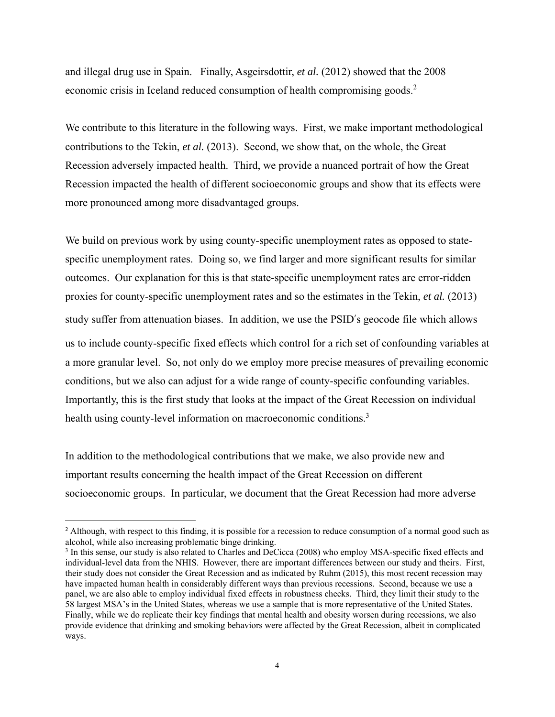and illegal drug use in Spain. Finally, Asgeirsdottir, *et al.* (2012) showed that the 2008 economic crisis in Iceland reduced consumption of health compromising goods.<sup>2</sup>

We contribute to this literature in the following ways. First, we make important methodological contributions to the Tekin, *et al.* (2013). Second, we show that, on the whole, the Great Recession adversely impacted health. Third, we provide a nuanced portrait of how the Great Recession impacted the health of different socioeconomic groups and show that its effects were more pronounced among more disadvantaged groups.

We build on previous work by using county-specific unemployment rates as opposed to statespecific unemployment rates. Doing so, we find larger and more significant results for similar outcomes. Our explanation for this is that state-specific unemployment rates are error-ridden proxies for county-specific unemployment rates and so the estimates in the Tekin, *et al.* (2013) study suffer from attenuation biases. In addition, we use the PSID's geocode file which allows us to include county-specific fixed effects which control for a rich set of confounding variables at a more granular level. So, not only do we employ more precise measures of prevailing economic conditions, but we also can adjust for a wide range of county-specific confounding variables. Importantly, this is the first study that looks at the impact of the Great Recession on individual health using county-level information on macroeconomic conditions.<sup>3</sup>

In addition to the methodological contributions that we make, we also provide new and important results concerning the health impact of the Great Recession on different socioeconomic groups. In particular, we document that the Great Recession had more adverse

<sup>&</sup>lt;sup>2</sup> Although, with respect to this finding, it is possible for a recession to reduce consumption of a normal good such as alcohol, while also increasing problematic binge drinking.

<sup>&</sup>lt;sup>3</sup> In this sense, our study is also related to Charles and DeCicca (2008) who employ MSA-specific fixed effects and individual-level data from the NHIS. However, there are important differences between our study and theirs. First, their study does not consider the Great Recession and as indicated by Ruhm (2015), this most recent recession may have impacted human health in considerably different ways than previous recessions. Second, because we use a panel, we are also able to employ individual fixed effects in robustness checks. Third, they limit their study to the 58 largest MSA's in the United States, whereas we use a sample that is more representative of the United States. Finally, while we do replicate their key findings that mental health and obesity worsen during recessions, we also provide evidence that drinking and smoking behaviors were affected by the Great Recession, albeit in complicated ways.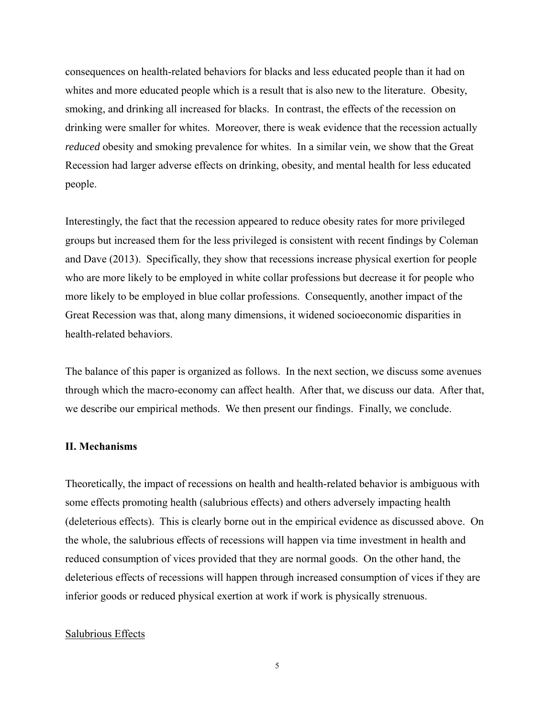consequences on health-related behaviors for blacks and less educated people than it had on whites and more educated people which is a result that is also new to the literature. Obesity, smoking, and drinking all increased for blacks. In contrast, the effects of the recession on drinking were smaller for whites. Moreover, there is weak evidence that the recession actually *reduced* obesity and smoking prevalence for whites. In a similar vein, we show that the Great Recession had larger adverse effects on drinking, obesity, and mental health for less educated people.

Interestingly, the fact that the recession appeared to reduce obesity rates for more privileged groups but increased them for the less privileged is consistent with recent findings by Coleman and Dave (2013). Specifically, they show that recessions increase physical exertion for people who are more likely to be employed in white collar professions but decrease it for people who more likely to be employed in blue collar professions. Consequently, another impact of the Great Recession was that, along many dimensions, it widened socioeconomic disparities in health-related behaviors.

The balance of this paper is organized as follows. In the next section, we discuss some avenues through which the macro-economy can affect health. After that, we discuss our data. After that, we describe our empirical methods. We then present our findings. Finally, we conclude.

#### **II. Mechanisms**

Theoretically, the impact of recessions on health and health-related behavior is ambiguous with some effects promoting health (salubrious effects) and others adversely impacting health (deleterious effects). This is clearly borne out in the empirical evidence as discussed above. On the whole, the salubrious effects of recessions will happen via time investment in health and reduced consumption of vices provided that they are normal goods. On the other hand, the deleterious effects of recessions will happen through increased consumption of vices if they are inferior goods or reduced physical exertion at work if work is physically strenuous.

## Salubrious Effects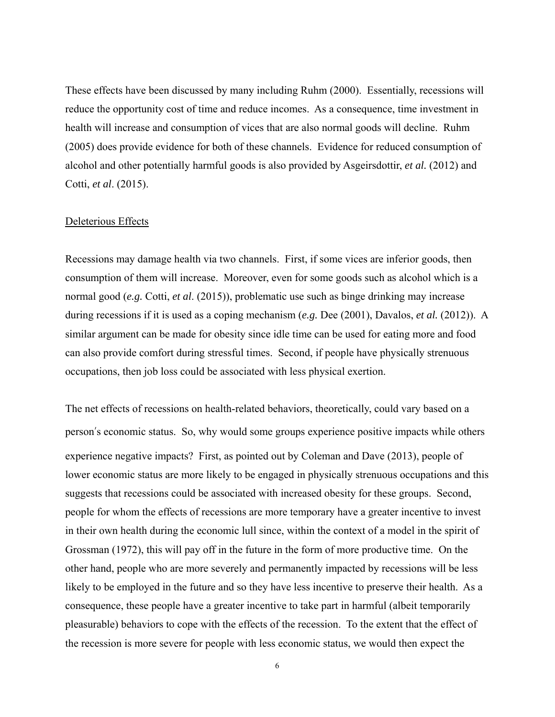These effects have been discussed by many including Ruhm (2000). Essentially, recessions will reduce the opportunity cost of time and reduce incomes. As a consequence, time investment in health will increase and consumption of vices that are also normal goods will decline. Ruhm (2005) does provide evidence for both of these channels. Evidence for reduced consumption of alcohol and other potentially harmful goods is also provided by Asgeirsdottir, *et al.* (2012) and Cotti, *et al*. (2015).

#### Deleterious Effects

Recessions may damage health via two channels. First, if some vices are inferior goods, then consumption of them will increase. Moreover, even for some goods such as alcohol which is a normal good (*e.g.* Cotti, *et al*. (2015)), problematic use such as binge drinking may increase during recessions if it is used as a coping mechanism (*e.g.* Dee (2001), Davalos, *et al.* (2012)). A similar argument can be made for obesity since idle time can be used for eating more and food can also provide comfort during stressful times. Second, if people have physically strenuous occupations, then job loss could be associated with less physical exertion.

The net effects of recessions on health-related behaviors, theoretically, could vary based on a person's economic status. So, why would some groups experience positive impacts while others experience negative impacts? First, as pointed out by Coleman and Dave (2013), people of lower economic status are more likely to be engaged in physically strenuous occupations and this suggests that recessions could be associated with increased obesity for these groups. Second, people for whom the effects of recessions are more temporary have a greater incentive to invest in their own health during the economic lull since, within the context of a model in the spirit of Grossman (1972), this will pay off in the future in the form of more productive time. On the other hand, people who are more severely and permanently impacted by recessions will be less likely to be employed in the future and so they have less incentive to preserve their health. As a consequence, these people have a greater incentive to take part in harmful (albeit temporarily pleasurable) behaviors to cope with the effects of the recession. To the extent that the effect of the recession is more severe for people with less economic status, we would then expect the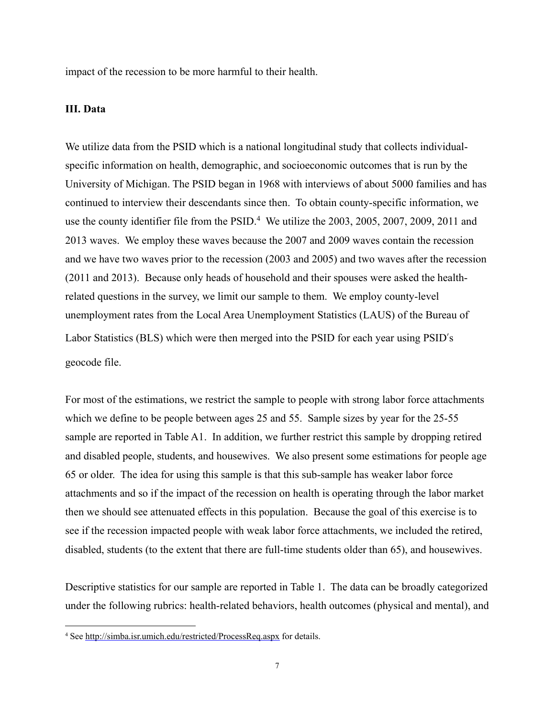impact of the recession to be more harmful to their health.

## **III. Data**

We utilize data from the PSID which is a national longitudinal study that collects individualspecific information on health, demographic, and socioeconomic outcomes that is run by the University of Michigan. The PSID began in 1968 with interviews of about 5000 families and has continued to interview their descendants since then. To obtain county-specific information, we use the county identifier file from the PSID.<sup>4</sup> We utilize the 2003, 2005, 2007, 2009, 2011 and 2013 waves. We employ these waves because the 2007 and 2009 waves contain the recession and we have two waves prior to the recession (2003 and 2005) and two waves after the recession (2011 and 2013). Because only heads of household and their spouses were asked the healthrelated questions in the survey, we limit our sample to them. We employ county-level unemployment rates from the Local Area Unemployment Statistics (LAUS) of the Bureau of Labor Statistics (BLS) which were then merged into the PSID for each year using PSID's geocode file.

For most of the estimations, we restrict the sample to people with strong labor force attachments which we define to be people between ages 25 and 55. Sample sizes by year for the 25-55 sample are reported in Table A1. In addition, we further restrict this sample by dropping retired and disabled people, students, and housewives. We also present some estimations for people age 65 or older. The idea for using this sample is that this sub-sample has weaker labor force attachments and so if the impact of the recession on health is operating through the labor market then we should see attenuated effects in this population. Because the goal of this exercise is to see if the recession impacted people with weak labor force attachments, we included the retired, disabled, students (to the extent that there are full-time students older than 65), and housewives.

Descriptive statistics for our sample are reported in Table 1. The data can be broadly categorized under the following rubrics: health-related behaviors, health outcomes (physical and mental), and

<sup>4</sup> See http://simba.isr.umich.edu/restricted/ProcessReq.aspx for details.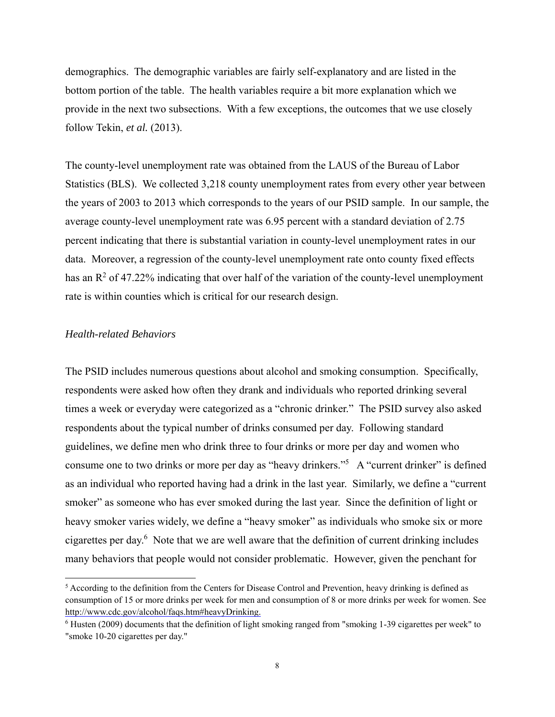demographics. The demographic variables are fairly self-explanatory and are listed in the bottom portion of the table. The health variables require a bit more explanation which we provide in the next two subsections. With a few exceptions, the outcomes that we use closely follow Tekin, *et al.* (2013).

The county-level unemployment rate was obtained from the LAUS of the Bureau of Labor Statistics (BLS). We collected 3,218 county unemployment rates from every other year between the years of 2003 to 2013 which corresponds to the years of our PSID sample. In our sample, the average county-level unemployment rate was 6.95 percent with a standard deviation of 2.75 percent indicating that there is substantial variation in county-level unemployment rates in our data. Moreover, a regression of the county-level unemployment rate onto county fixed effects has an  $\mathbb{R}^2$  of 47.22% indicating that over half of the variation of the county-level unemployment rate is within counties which is critical for our research design.

## *Health-related Behaviors*

The PSID includes numerous questions about alcohol and smoking consumption. Specifically, respondents were asked how often they drank and individuals who reported drinking several times a week or everyday were categorized as a "chronic drinker." The PSID survey also asked respondents about the typical number of drinks consumed per day. Following standard guidelines, we define men who drink three to four drinks or more per day and women who consume one to two drinks or more per day as "heavy drinkers."<sup>5</sup> A "current drinker" is defined as an individual who reported having had a drink in the last year. Similarly, we define a "current smoker" as someone who has ever smoked during the last year. Since the definition of light or heavy smoker varies widely, we define a "heavy smoker" as individuals who smoke six or more cigarettes per day.<sup>6</sup> Note that we are well aware that the definition of current drinking includes many behaviors that people would not consider problematic. However, given the penchant for

<sup>&</sup>lt;sup>5</sup> According to the definition from the Centers for Disease Control and Prevention, heavy drinking is defined as consumption of 15 or more drinks per week for men and consumption of 8 or more drinks per week for women. See http://www.cdc.gov/alcohol/faqs.htm#heavyDrinking.

<sup>&</sup>lt;sup>6</sup> Husten (2009) documents that the definition of light smoking ranged from "smoking 1-39 cigarettes per week" to "smoke 10-20 cigarettes per day."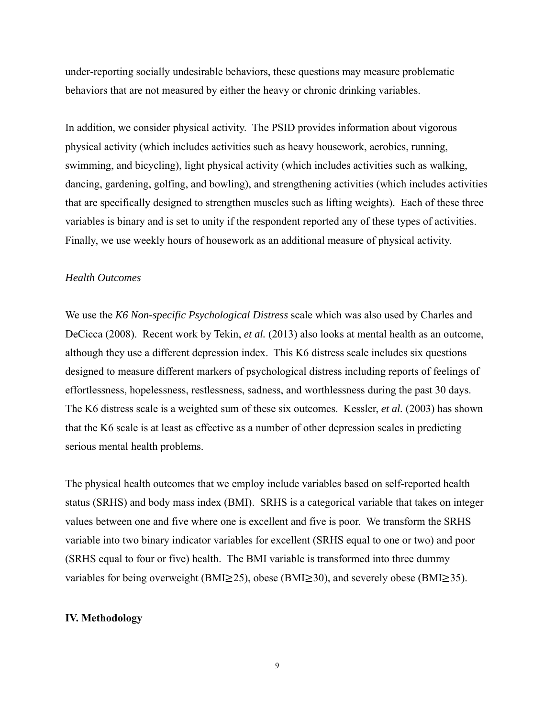under-reporting socially undesirable behaviors, these questions may measure problematic behaviors that are not measured by either the heavy or chronic drinking variables.

In addition, we consider physical activity. The PSID provides information about vigorous physical activity (which includes activities such as heavy housework, aerobics, running, swimming, and bicycling), light physical activity (which includes activities such as walking, dancing, gardening, golfing, and bowling), and strengthening activities (which includes activities that are specifically designed to strengthen muscles such as lifting weights). Each of these three variables is binary and is set to unity if the respondent reported any of these types of activities. Finally, we use weekly hours of housework as an additional measure of physical activity.

#### *Health Outcomes*

We use the *K6 Non-specific Psychological Distress* scale which was also used by Charles and DeCicca (2008). Recent work by Tekin, *et al.* (2013) also looks at mental health as an outcome, although they use a different depression index. This K6 distress scale includes six questions designed to measure different markers of psychological distress including reports of feelings of effortlessness, hopelessness, restlessness, sadness, and worthlessness during the past 30 days. The K6 distress scale is a weighted sum of these six outcomes. Kessler, *et al.* (2003) has shown that the K6 scale is at least as effective as a number of other depression scales in predicting serious mental health problems.

The physical health outcomes that we employ include variables based on self-reported health status (SRHS) and body mass index (BMI). SRHS is a categorical variable that takes on integer values between one and five where one is excellent and five is poor. We transform the SRHS variable into two binary indicator variables for excellent (SRHS equal to one or two) and poor (SRHS equal to four or five) health. The BMI variable is transformed into three dummy variables for being overweight (BMI $\geq$ 25), obese (BMI $\geq$ 30), and severely obese (BMI $\geq$ 35).

## **IV. Methodology**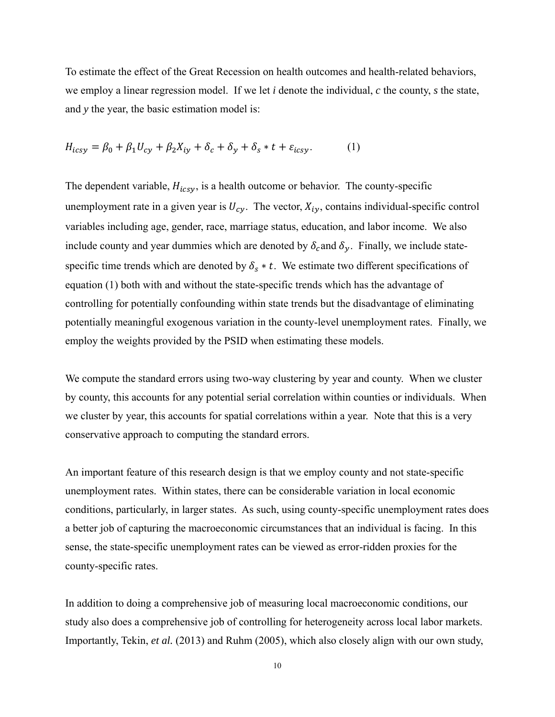To estimate the effect of the Great Recession on health outcomes and health-related behaviors, we employ a linear regression model. If we let *i* denote the individual, *c* the county, *s* the state, and *y* the year, the basic estimation model is:

$$
H_{icsy} = \beta_0 + \beta_1 U_{cy} + \beta_2 X_{iy} + \delta_c + \delta_y + \delta_s * t + \varepsilon_{icsy}.
$$
 (1)

The dependent variable,  $H_{icsv}$ , is a health outcome or behavior. The county-specific unemployment rate in a given year is  $U_{c\nu}$ . The vector,  $X_{i\nu}$ , contains individual-specific control variables including age, gender, race, marriage status, education, and labor income. We also include county and year dummies which are denoted by  $\delta_c$  and  $\delta_v$ . Finally, we include statespecific time trends which are denoted by  $\delta_s * t$ . We estimate two different specifications of equation (1) both with and without the state-specific trends which has the advantage of controlling for potentially confounding within state trends but the disadvantage of eliminating potentially meaningful exogenous variation in the county-level unemployment rates. Finally, we employ the weights provided by the PSID when estimating these models.

We compute the standard errors using two-way clustering by year and county. When we cluster by county, this accounts for any potential serial correlation within counties or individuals. When we cluster by year, this accounts for spatial correlations within a year. Note that this is a very conservative approach to computing the standard errors.

An important feature of this research design is that we employ county and not state-specific unemployment rates. Within states, there can be considerable variation in local economic conditions, particularly, in larger states. As such, using county-specific unemployment rates does a better job of capturing the macroeconomic circumstances that an individual is facing. In this sense, the state-specific unemployment rates can be viewed as error-ridden proxies for the county-specific rates.

In addition to doing a comprehensive job of measuring local macroeconomic conditions, our study also does a comprehensive job of controlling for heterogeneity across local labor markets. Importantly, Tekin, *et al.* (2013) and Ruhm (2005), which also closely align with our own study,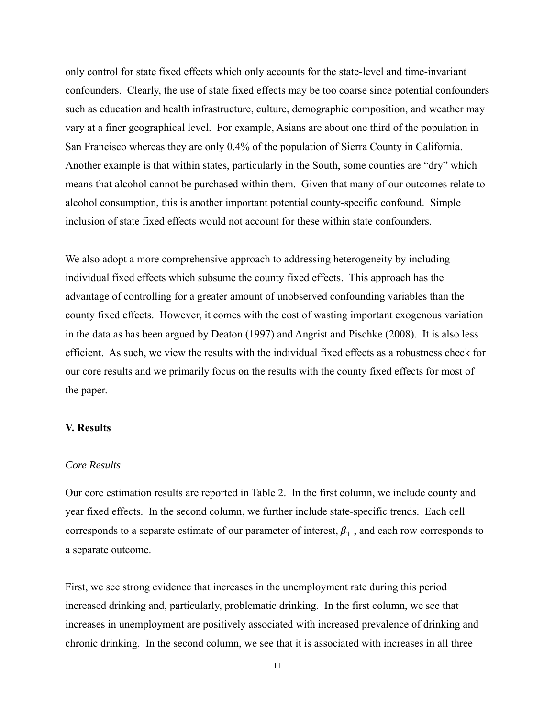only control for state fixed effects which only accounts for the state-level and time-invariant confounders. Clearly, the use of state fixed effects may be too coarse since potential confounders such as education and health infrastructure, culture, demographic composition, and weather may vary at a finer geographical level. For example, Asians are about one third of the population in San Francisco whereas they are only 0.4% of the population of Sierra County in California. Another example is that within states, particularly in the South, some counties are "dry" which means that alcohol cannot be purchased within them. Given that many of our outcomes relate to alcohol consumption, this is another important potential county-specific confound. Simple inclusion of state fixed effects would not account for these within state confounders.

We also adopt a more comprehensive approach to addressing heterogeneity by including individual fixed effects which subsume the county fixed effects. This approach has the advantage of controlling for a greater amount of unobserved confounding variables than the county fixed effects. However, it comes with the cost of wasting important exogenous variation in the data as has been argued by Deaton (1997) and Angrist and Pischke (2008). It is also less efficient. As such, we view the results with the individual fixed effects as a robustness check for our core results and we primarily focus on the results with the county fixed effects for most of the paper.

## **V. Results**

## *Core Results*

Our core estimation results are reported in Table 2. In the first column, we include county and year fixed effects. In the second column, we further include state-specific trends. Each cell corresponds to a separate estimate of our parameter of interest,  $\beta_1$ , and each row corresponds to a separate outcome.

First, we see strong evidence that increases in the unemployment rate during this period increased drinking and, particularly, problematic drinking. In the first column, we see that increases in unemployment are positively associated with increased prevalence of drinking and chronic drinking. In the second column, we see that it is associated with increases in all three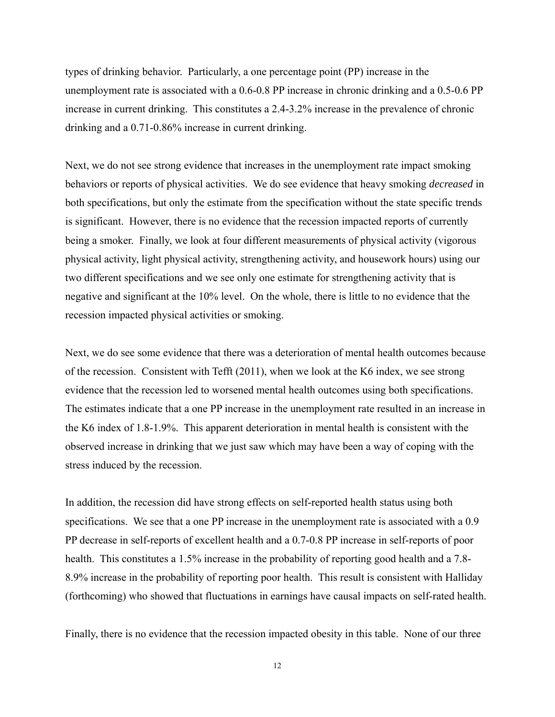types of drinking behavior. Particularly, a one percentage point (PP) increase in the unemployment rate is associated with a 0.6-0.8 PP increase in chronic drinking and a 0.5-0.6 PP increase in current drinking. This constitutes a 2.4-3.2% increase in the prevalence of chronic drinking and a 0.71-0.86% increase in current drinking.

Next, we do not see strong evidence that increases in the unemployment rate impact smoking behaviors or reports of physical activities. We do see evidence that heavy smoking *decreased* in both specifications, but only the estimate from the specification without the state specific trends is significant. However, there is no evidence that the recession impacted reports of currently being a smoker. Finally, we look at four different measurements of physical activity (vigorous physical activity, light physical activity, strengthening activity, and housework hours) using our two different specifications and we see only one estimate for strengthening activity that is negative and significant at the 10% level. On the whole, there is little to no evidence that the recession impacted physical activities or smoking.

Next, we do see some evidence that there was a deterioration of mental health outcomes because of the recession. Consistent with Tefft (2011), when we look at the K6 index, we see strong evidence that the recession led to worsened mental health outcomes using both specifications. The estimates indicate that a one PP increase in the unemployment rate resulted in an increase in the K6 index of 1.8-1.9%. This apparent deterioration in mental health is consistent with the observed increase in drinking that we just saw which may have been a way of coping with the stress induced by the recession.

In addition, the recession did have strong effects on self-reported health status using both specifications. We see that a one PP increase in the unemployment rate is associated with a 0.9 PP decrease in self-reports of excellent health and a 0.7-0.8 PP increase in self-reports of poor health. This constitutes a 1.5% increase in the probability of reporting good health and a 7.8-8.9% increase in the probability of reporting poor health. This result is consistent with Halliday (forthcoming) who showed that fluctuations in earnings have causal impacts on self-rated health.

Finally, there is no evidence that the recession impacted obesity in this table. None of our three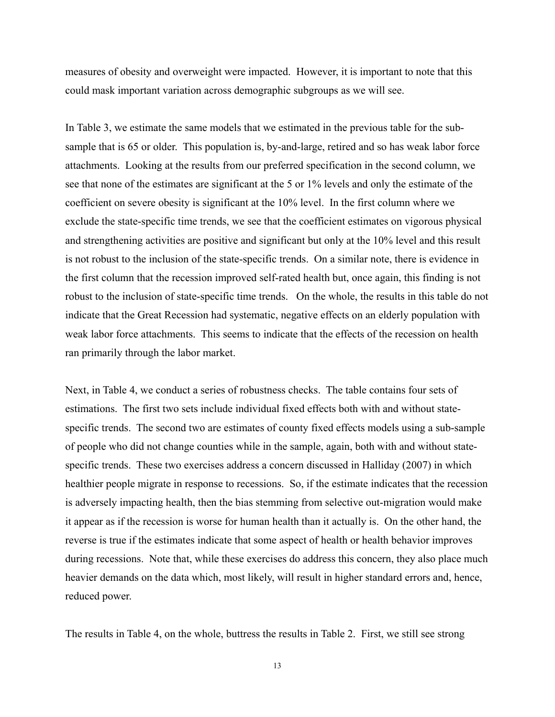measures of obesity and overweight were impacted. However, it is important to note that this could mask important variation across demographic subgroups as we will see.

In Table 3, we estimate the same models that we estimated in the previous table for the subsample that is 65 or older. This population is, by-and-large, retired and so has weak labor force attachments. Looking at the results from our preferred specification in the second column, we see that none of the estimates are significant at the 5 or 1% levels and only the estimate of the coefficient on severe obesity is significant at the 10% level. In the first column where we exclude the state-specific time trends, we see that the coefficient estimates on vigorous physical and strengthening activities are positive and significant but only at the 10% level and this result is not robust to the inclusion of the state-specific trends. On a similar note, there is evidence in the first column that the recession improved self-rated health but, once again, this finding is not robust to the inclusion of state-specific time trends. On the whole, the results in this table do not indicate that the Great Recession had systematic, negative effects on an elderly population with weak labor force attachments. This seems to indicate that the effects of the recession on health ran primarily through the labor market.

Next, in Table 4, we conduct a series of robustness checks. The table contains four sets of estimations. The first two sets include individual fixed effects both with and without statespecific trends. The second two are estimates of county fixed effects models using a sub-sample of people who did not change counties while in the sample, again, both with and without statespecific trends. These two exercises address a concern discussed in Halliday (2007) in which healthier people migrate in response to recessions. So, if the estimate indicates that the recession is adversely impacting health, then the bias stemming from selective out-migration would make it appear as if the recession is worse for human health than it actually is. On the other hand, the reverse is true if the estimates indicate that some aspect of health or health behavior improves during recessions. Note that, while these exercises do address this concern, they also place much heavier demands on the data which, most likely, will result in higher standard errors and, hence, reduced power.

The results in Table 4, on the whole, buttress the results in Table 2. First, we still see strong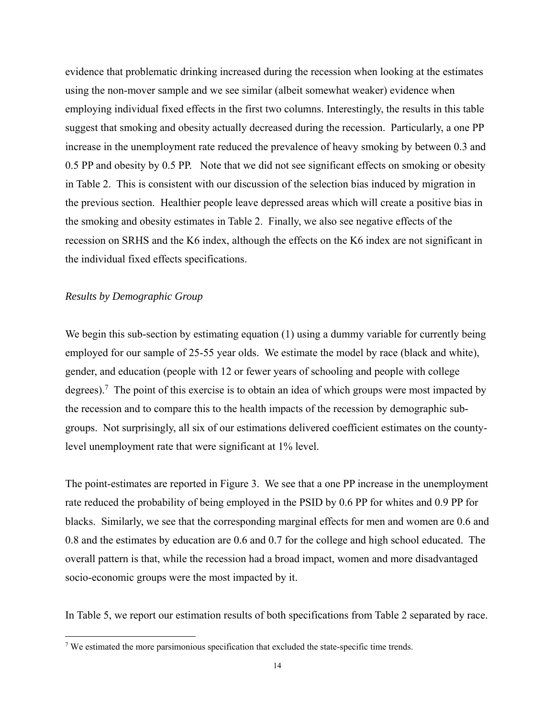evidence that problematic drinking increased during the recession when looking at the estimates using the non-mover sample and we see similar (albeit somewhat weaker) evidence when employing individual fixed effects in the first two columns. Interestingly, the results in this table suggest that smoking and obesity actually decreased during the recession. Particularly, a one PP increase in the unemployment rate reduced the prevalence of heavy smoking by between 0.3 and 0.5 PP and obesity by 0.5 PP. Note that we did not see significant effects on smoking or obesity in Table 2. This is consistent with our discussion of the selection bias induced by migration in the previous section. Healthier people leave depressed areas which will create a positive bias in the smoking and obesity estimates in Table 2. Finally, we also see negative effects of the recession on SRHS and the K6 index, although the effects on the K6 index are not significant in the individual fixed effects specifications.

## *Results by Demographic Group*

We begin this sub-section by estimating equation (1) using a dummy variable for currently being employed for our sample of 25-55 year olds. We estimate the model by race (black and white), gender, and education (people with 12 or fewer years of schooling and people with college degrees).<sup>7</sup> The point of this exercise is to obtain an idea of which groups were most impacted by the recession and to compare this to the health impacts of the recession by demographic subgroups. Not surprisingly, all six of our estimations delivered coefficient estimates on the countylevel unemployment rate that were significant at 1% level.

The point-estimates are reported in Figure 3. We see that a one PP increase in the unemployment rate reduced the probability of being employed in the PSID by 0.6 PP for whites and 0.9 PP for blacks. Similarly, we see that the corresponding marginal effects for men and women are 0.6 and 0.8 and the estimates by education are 0.6 and 0.7 for the college and high school educated. The overall pattern is that, while the recession had a broad impact, women and more disadvantaged socio-economic groups were the most impacted by it.

In Table 5, we report our estimation results of both specifications from Table 2 separated by race.

<sup>&</sup>lt;sup>7</sup> We estimated the more parsimonious specification that excluded the state-specific time trends.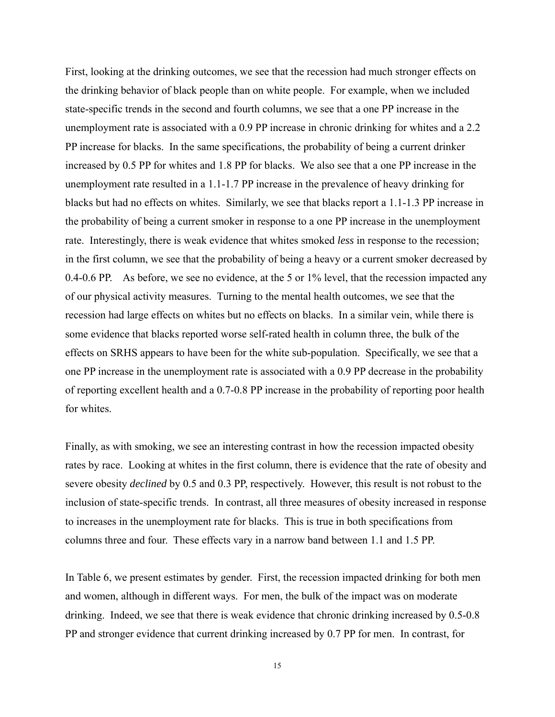First, looking at the drinking outcomes, we see that the recession had much stronger effects on the drinking behavior of black people than on white people. For example, when we included state-specific trends in the second and fourth columns, we see that a one PP increase in the unemployment rate is associated with a 0.9 PP increase in chronic drinking for whites and a 2.2 PP increase for blacks. In the same specifications, the probability of being a current drinker increased by 0.5 PP for whites and 1.8 PP for blacks. We also see that a one PP increase in the unemployment rate resulted in a 1.1-1.7 PP increase in the prevalence of heavy drinking for blacks but had no effects on whites. Similarly, we see that blacks report a 1.1-1.3 PP increase in the probability of being a current smoker in response to a one PP increase in the unemployment rate. Interestingly, there is weak evidence that whites smoked *less* in response to the recession; in the first column, we see that the probability of being a heavy or a current smoker decreased by 0.4-0.6 PP. As before, we see no evidence, at the 5 or 1% level, that the recession impacted any of our physical activity measures. Turning to the mental health outcomes, we see that the recession had large effects on whites but no effects on blacks. In a similar vein, while there is some evidence that blacks reported worse self-rated health in column three, the bulk of the effects on SRHS appears to have been for the white sub-population. Specifically, we see that a one PP increase in the unemployment rate is associated with a 0.9 PP decrease in the probability of reporting excellent health and a 0.7-0.8 PP increase in the probability of reporting poor health for whites.

Finally, as with smoking, we see an interesting contrast in how the recession impacted obesity rates by race. Looking at whites in the first column, there is evidence that the rate of obesity and severe obesity *declined* by 0.5 and 0.3 PP, respectively. However, this result is not robust to the inclusion of state-specific trends. In contrast, all three measures of obesity increased in response to increases in the unemployment rate for blacks. This is true in both specifications from columns three and four. These effects vary in a narrow band between 1.1 and 1.5 PP.

In Table 6, we present estimates by gender. First, the recession impacted drinking for both men and women, although in different ways. For men, the bulk of the impact was on moderate drinking. Indeed, we see that there is weak evidence that chronic drinking increased by 0.5-0.8 PP and stronger evidence that current drinking increased by 0.7 PP for men. In contrast, for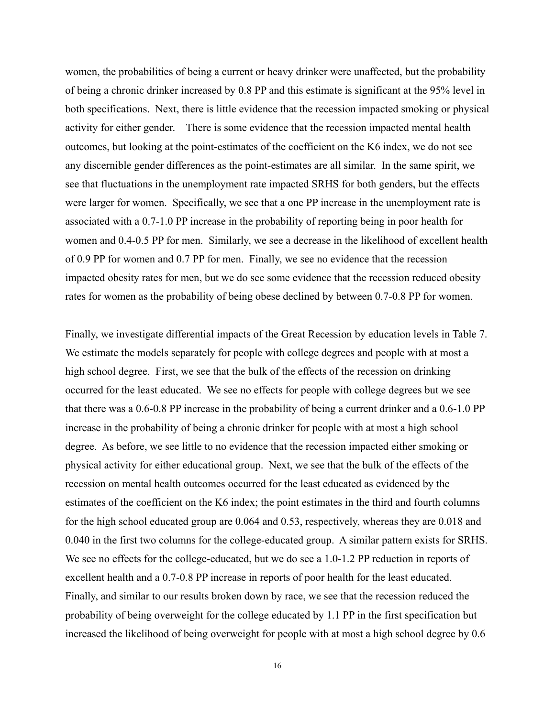women, the probabilities of being a current or heavy drinker were unaffected, but the probability of being a chronic drinker increased by 0.8 PP and this estimate is significant at the 95% level in both specifications. Next, there is little evidence that the recession impacted smoking or physical activity for either gender. There is some evidence that the recession impacted mental health outcomes, but looking at the point-estimates of the coefficient on the K6 index, we do not see any discernible gender differences as the point-estimates are all similar. In the same spirit, we see that fluctuations in the unemployment rate impacted SRHS for both genders, but the effects were larger for women. Specifically, we see that a one PP increase in the unemployment rate is associated with a 0.7-1.0 PP increase in the probability of reporting being in poor health for women and 0.4-0.5 PP for men. Similarly, we see a decrease in the likelihood of excellent health of 0.9 PP for women and 0.7 PP for men. Finally, we see no evidence that the recession impacted obesity rates for men, but we do see some evidence that the recession reduced obesity rates for women as the probability of being obese declined by between 0.7-0.8 PP for women.

Finally, we investigate differential impacts of the Great Recession by education levels in Table 7. We estimate the models separately for people with college degrees and people with at most a high school degree. First, we see that the bulk of the effects of the recession on drinking occurred for the least educated. We see no effects for people with college degrees but we see that there was a 0.6-0.8 PP increase in the probability of being a current drinker and a 0.6-1.0 PP increase in the probability of being a chronic drinker for people with at most a high school degree. As before, we see little to no evidence that the recession impacted either smoking or physical activity for either educational group. Next, we see that the bulk of the effects of the recession on mental health outcomes occurred for the least educated as evidenced by the estimates of the coefficient on the K6 index; the point estimates in the third and fourth columns for the high school educated group are 0.064 and 0.53, respectively, whereas they are 0.018 and 0.040 in the first two columns for the college-educated group. A similar pattern exists for SRHS. We see no effects for the college-educated, but we do see a 1.0-1.2 PP reduction in reports of excellent health and a 0.7-0.8 PP increase in reports of poor health for the least educated. Finally, and similar to our results broken down by race, we see that the recession reduced the probability of being overweight for the college educated by 1.1 PP in the first specification but increased the likelihood of being overweight for people with at most a high school degree by 0.6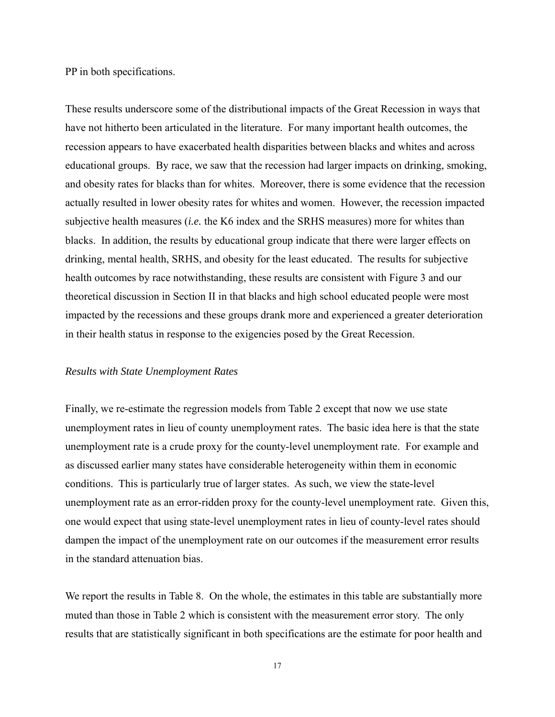PP in both specifications.

These results underscore some of the distributional impacts of the Great Recession in ways that have not hitherto been articulated in the literature. For many important health outcomes, the recession appears to have exacerbated health disparities between blacks and whites and across educational groups. By race, we saw that the recession had larger impacts on drinking, smoking, and obesity rates for blacks than for whites. Moreover, there is some evidence that the recession actually resulted in lower obesity rates for whites and women. However, the recession impacted subjective health measures (*i.e.* the K6 index and the SRHS measures) more for whites than blacks. In addition, the results by educational group indicate that there were larger effects on drinking, mental health, SRHS, and obesity for the least educated. The results for subjective health outcomes by race notwithstanding, these results are consistent with Figure 3 and our theoretical discussion in Section II in that blacks and high school educated people were most impacted by the recessions and these groups drank more and experienced a greater deterioration in their health status in response to the exigencies posed by the Great Recession.

### *Results with State Unemployment Rates*

Finally, we re-estimate the regression models from Table 2 except that now we use state unemployment rates in lieu of county unemployment rates. The basic idea here is that the state unemployment rate is a crude proxy for the county-level unemployment rate. For example and as discussed earlier many states have considerable heterogeneity within them in economic conditions. This is particularly true of larger states. As such, we view the state-level unemployment rate as an error-ridden proxy for the county-level unemployment rate. Given this, one would expect that using state-level unemployment rates in lieu of county-level rates should dampen the impact of the unemployment rate on our outcomes if the measurement error results in the standard attenuation bias.

We report the results in Table 8. On the whole, the estimates in this table are substantially more muted than those in Table 2 which is consistent with the measurement error story. The only results that are statistically significant in both specifications are the estimate for poor health and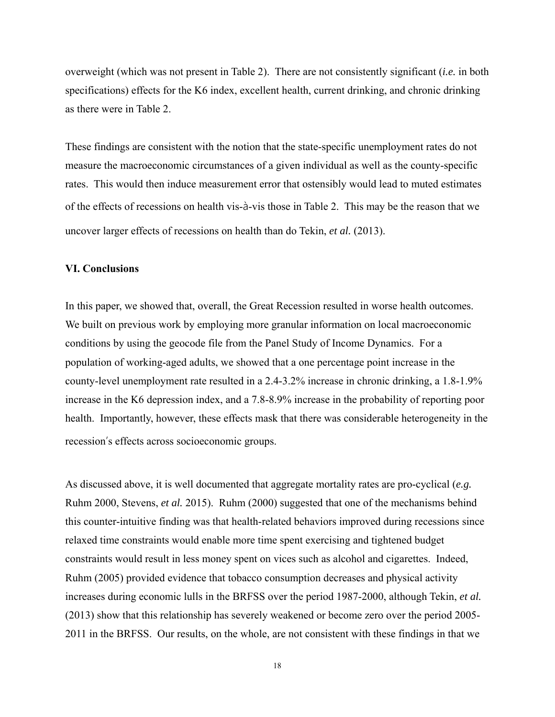overweight (which was not present in Table 2). There are not consistently significant (*i.e.* in both specifications) effects for the K6 index, excellent health, current drinking, and chronic drinking as there were in Table 2.

These findings are consistent with the notion that the state-specific unemployment rates do not measure the macroeconomic circumstances of a given individual as well as the county-specific rates. This would then induce measurement error that ostensibly would lead to muted estimates of the effects of recessions on health vis-à-vis those in Table 2. This may be the reason that we uncover larger effects of recessions on health than do Tekin, *et al.* (2013).

## **VI. Conclusions**

In this paper, we showed that, overall, the Great Recession resulted in worse health outcomes. We built on previous work by employing more granular information on local macroeconomic conditions by using the geocode file from the Panel Study of Income Dynamics. For a population of working-aged adults, we showed that a one percentage point increase in the county-level unemployment rate resulted in a 2.4-3.2% increase in chronic drinking, a 1.8-1.9% increase in the K6 depression index, and a 7.8-8.9% increase in the probability of reporting poor health. Importantly, however, these effects mask that there was considerable heterogeneity in the recession's effects across socioeconomic groups.

As discussed above, it is well documented that aggregate mortality rates are pro-cyclical (*e.g.* Ruhm 2000, Stevens, *et al.* 2015). Ruhm (2000) suggested that one of the mechanisms behind this counter-intuitive finding was that health-related behaviors improved during recessions since relaxed time constraints would enable more time spent exercising and tightened budget constraints would result in less money spent on vices such as alcohol and cigarettes. Indeed, Ruhm (2005) provided evidence that tobacco consumption decreases and physical activity increases during economic lulls in the BRFSS over the period 1987-2000, although Tekin, *et al.* (2013) show that this relationship has severely weakened or become zero over the period 2005- 2011 in the BRFSS. Our results, on the whole, are not consistent with these findings in that we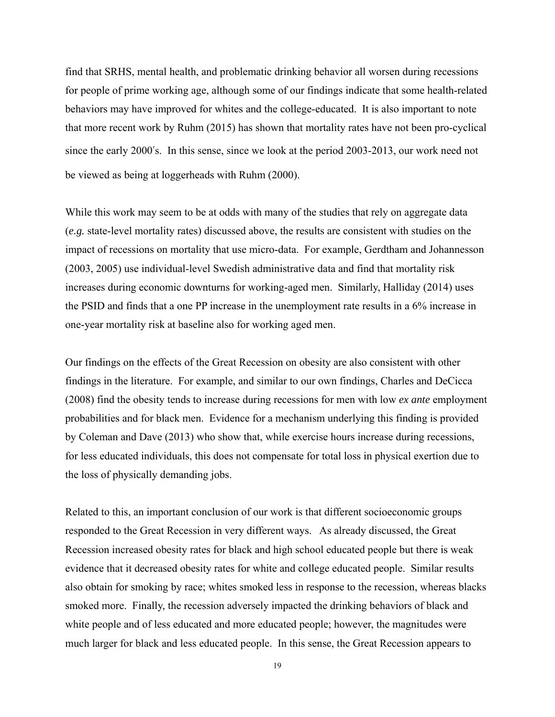find that SRHS, mental health, and problematic drinking behavior all worsen during recessions for people of prime working age, although some of our findings indicate that some health-related behaviors may have improved for whites and the college-educated. It is also important to note that more recent work by Ruhm (2015) has shown that mortality rates have not been pro-cyclical since the early 2000's. In this sense, since we look at the period 2003-2013, our work need not be viewed as being at loggerheads with Ruhm (2000).

While this work may seem to be at odds with many of the studies that rely on aggregate data (*e.g.* state-level mortality rates) discussed above, the results are consistent with studies on the impact of recessions on mortality that use micro-data. For example, Gerdtham and Johannesson (2003, 2005) use individual-level Swedish administrative data and find that mortality risk increases during economic downturns for working-aged men. Similarly, Halliday (2014) uses the PSID and finds that a one PP increase in the unemployment rate results in a 6% increase in one-year mortality risk at baseline also for working aged men.

Our findings on the effects of the Great Recession on obesity are also consistent with other findings in the literature. For example, and similar to our own findings, Charles and DeCicca (2008) find the obesity tends to increase during recessions for men with low *ex ante* employment probabilities and for black men. Evidence for a mechanism underlying this finding is provided by Coleman and Dave (2013) who show that, while exercise hours increase during recessions, for less educated individuals, this does not compensate for total loss in physical exertion due to the loss of physically demanding jobs.

Related to this, an important conclusion of our work is that different socioeconomic groups responded to the Great Recession in very different ways. As already discussed, the Great Recession increased obesity rates for black and high school educated people but there is weak evidence that it decreased obesity rates for white and college educated people. Similar results also obtain for smoking by race; whites smoked less in response to the recession, whereas blacks smoked more. Finally, the recession adversely impacted the drinking behaviors of black and white people and of less educated and more educated people; however, the magnitudes were much larger for black and less educated people. In this sense, the Great Recession appears to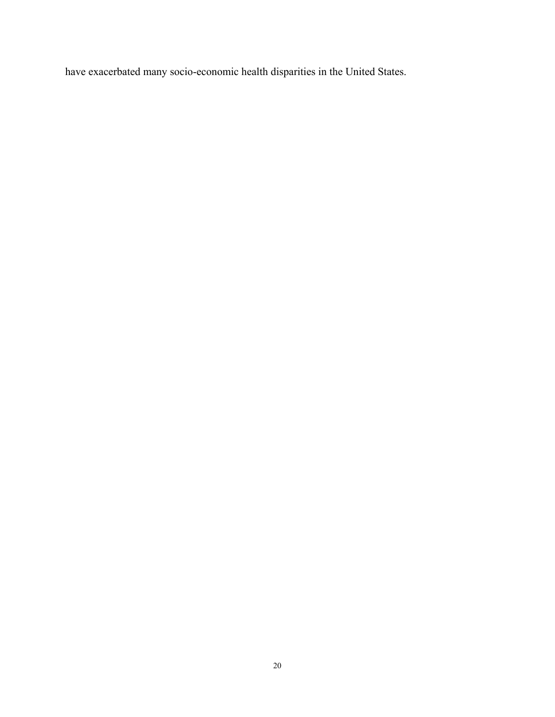have exacerbated many socio-economic health disparities in the United States.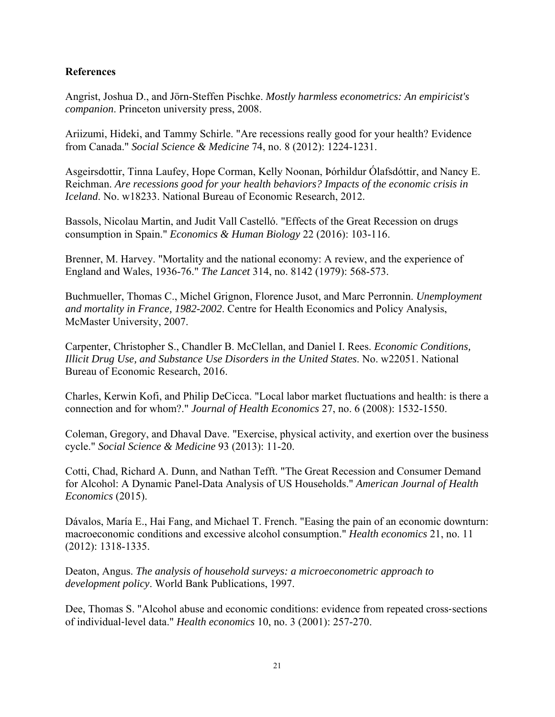## **References**

Angrist, Joshua D., and Jörn-Steffen Pischke. *Mostly harmless econometrics: An empiricist's companion*. Princeton university press, 2008.

Ariizumi, Hideki, and Tammy Schirle. "Are recessions really good for your health? Evidence from Canada." *Social Science & Medicine* 74, no. 8 (2012): 1224-1231.

Asgeirsdottir, Tinna Laufey, Hope Corman, Kelly Noonan, Þórhildur Ólafsdóttir, and Nancy E. Reichman. *Are recessions good for your health behaviors? Impacts of the economic crisis in Iceland*. No. w18233. National Bureau of Economic Research, 2012.

Bassols, Nicolau Martin, and Judit Vall Castelló. "Effects of the Great Recession on drugs consumption in Spain." *Economics & Human Biology* 22 (2016): 103-116.

Brenner, M. Harvey. "Mortality and the national economy: A review, and the experience of England and Wales, 1936-76." *The Lancet* 314, no. 8142 (1979): 568-573.

Buchmueller, Thomas C., Michel Grignon, Florence Jusot, and Marc Perronnin. *Unemployment and mortality in France, 1982-2002*. Centre for Health Economics and Policy Analysis, McMaster University, 2007.

Carpenter, Christopher S., Chandler B. McClellan, and Daniel I. Rees. *Economic Conditions, Illicit Drug Use, and Substance Use Disorders in the United States*. No. w22051. National Bureau of Economic Research, 2016.

Charles, Kerwin Kofi, and Philip DeCicca. "Local labor market fluctuations and health: is there a connection and for whom?." *Journal of Health Economics* 27, no. 6 (2008): 1532-1550.

Coleman, Gregory, and Dhaval Dave. "Exercise, physical activity, and exertion over the business cycle." *Social Science & Medicine* 93 (2013): 11-20.

Cotti, Chad, Richard A. Dunn, and Nathan Tefft. "The Great Recession and Consumer Demand for Alcohol: A Dynamic Panel-Data Analysis of US Households." *American Journal of Health Economics* (2015).

Dávalos, María E., Hai Fang, and Michael T. French. "Easing the pain of an economic downturn: macroeconomic conditions and excessive alcohol consumption." *Health economics* 21, no. 11 (2012): 1318-1335.

Deaton, Angus. *The analysis of household surveys: a microeconometric approach to development policy*. World Bank Publications, 1997.

Dee, Thomas S. "Alcohol abuse and economic conditions: evidence from repeated cross-sections of individual‐level data." *Health economics* 10, no. 3 (2001): 257-270.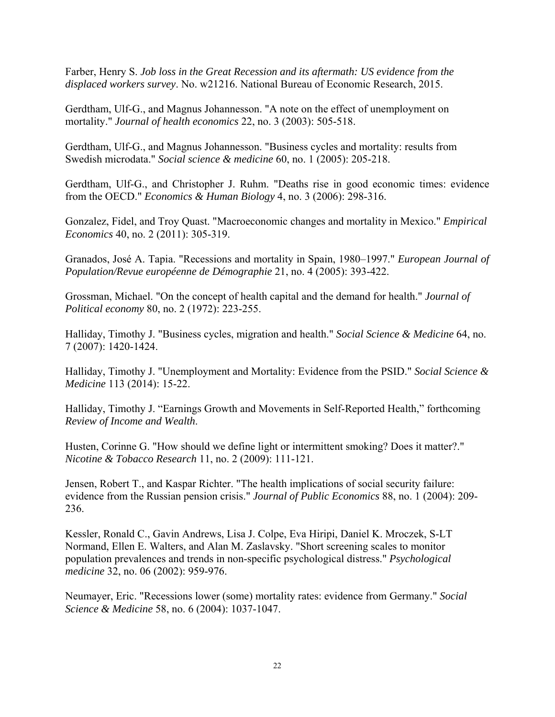Farber, Henry S. *Job loss in the Great Recession and its aftermath: US evidence from the displaced workers survey*. No. w21216. National Bureau of Economic Research, 2015.

Gerdtham, Ulf-G., and Magnus Johannesson. "A note on the effect of unemployment on mortality." *Journal of health economics* 22, no. 3 (2003): 505-518.

Gerdtham, Ulf-G., and Magnus Johannesson. "Business cycles and mortality: results from Swedish microdata." *Social science & medicine* 60, no. 1 (2005): 205-218.

Gerdtham, Ulf-G., and Christopher J. Ruhm. "Deaths rise in good economic times: evidence from the OECD." *Economics & Human Biology* 4, no. 3 (2006): 298-316.

Gonzalez, Fidel, and Troy Quast. "Macroeconomic changes and mortality in Mexico." *Empirical Economics* 40, no. 2 (2011): 305-319.

Granados, José A. Tapia. "Recessions and mortality in Spain, 1980–1997." *European Journal of Population/Revue européenne de Démographie* 21, no. 4 (2005): 393-422.

Grossman, Michael. "On the concept of health capital and the demand for health." *Journal of Political economy* 80, no. 2 (1972): 223-255.

Halliday, Timothy J. "Business cycles, migration and health." *Social Science & Medicine* 64, no. 7 (2007): 1420-1424.

Halliday, Timothy J. "Unemployment and Mortality: Evidence from the PSID." *Social Science & Medicine* 113 (2014): 15-22.

Halliday, Timothy J. "Earnings Growth and Movements in Self-Reported Health," forthcoming *Review of Income and Wealth*.

Husten, Corinne G. "How should we define light or intermittent smoking? Does it matter?." *Nicotine & Tobacco Research* 11, no. 2 (2009): 111-121.

Jensen, Robert T., and Kaspar Richter. "The health implications of social security failure: evidence from the Russian pension crisis." *Journal of Public Economics* 88, no. 1 (2004): 209- 236.

Kessler, Ronald C., Gavin Andrews, Lisa J. Colpe, Eva Hiripi, Daniel K. Mroczek, S-LT Normand, Ellen E. Walters, and Alan M. Zaslavsky. "Short screening scales to monitor population prevalences and trends in non-specific psychological distress." *Psychological medicine* 32, no. 06 (2002): 959-976.

Neumayer, Eric. "Recessions lower (some) mortality rates: evidence from Germany." *Social Science & Medicine* 58, no. 6 (2004): 1037-1047.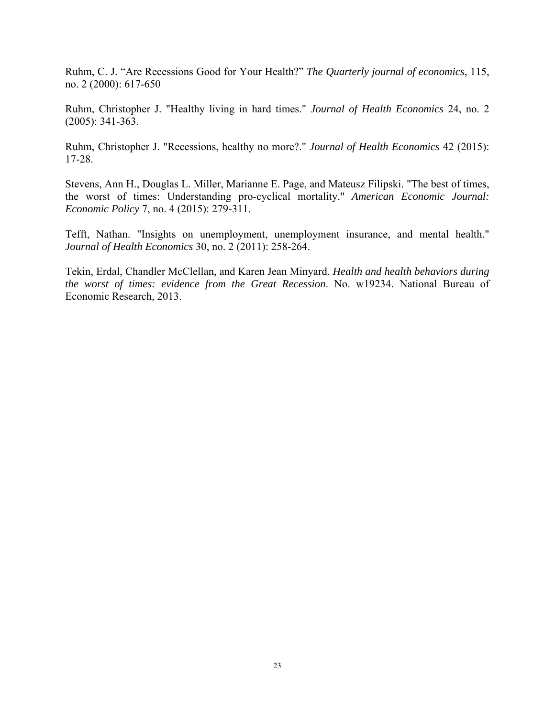Ruhm, C. J. "Are Recessions Good for Your Health?" *The Quarterly journal of economics*, 115, no. 2 (2000): 617-650

Ruhm, Christopher J. "Healthy living in hard times." *Journal of Health Economics* 24, no. 2 (2005): 341-363.

Ruhm, Christopher J. "Recessions, healthy no more?." *Journal of Health Economics* 42 (2015): 17-28.

Stevens, Ann H., Douglas L. Miller, Marianne E. Page, and Mateusz Filipski. "The best of times, the worst of times: Understanding pro-cyclical mortality." *American Economic Journal: Economic Policy* 7, no. 4 (2015): 279-311.

Tefft, Nathan. "Insights on unemployment, unemployment insurance, and mental health." *Journal of Health Economics* 30, no. 2 (2011): 258-264.

Tekin, Erdal, Chandler McClellan, and Karen Jean Minyard. *Health and health behaviors during the worst of times: evidence from the Great Recession*. No. w19234. National Bureau of Economic Research, 2013.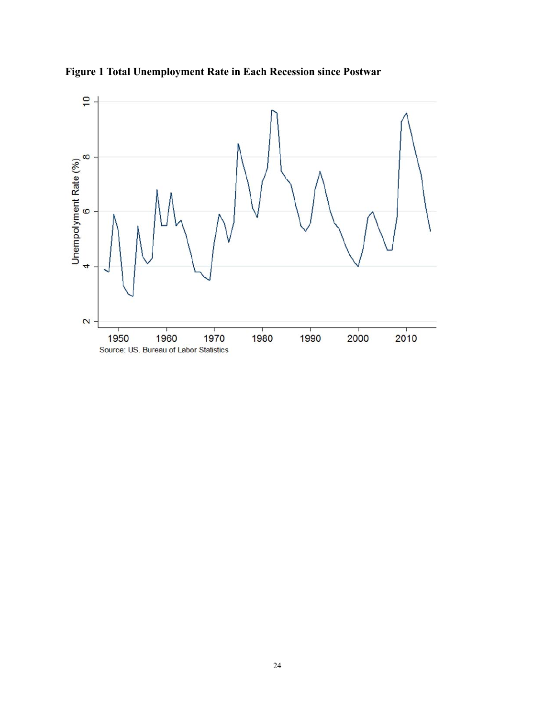

**Figure 1 Total Unemployment Rate in Each Recession since Postwar**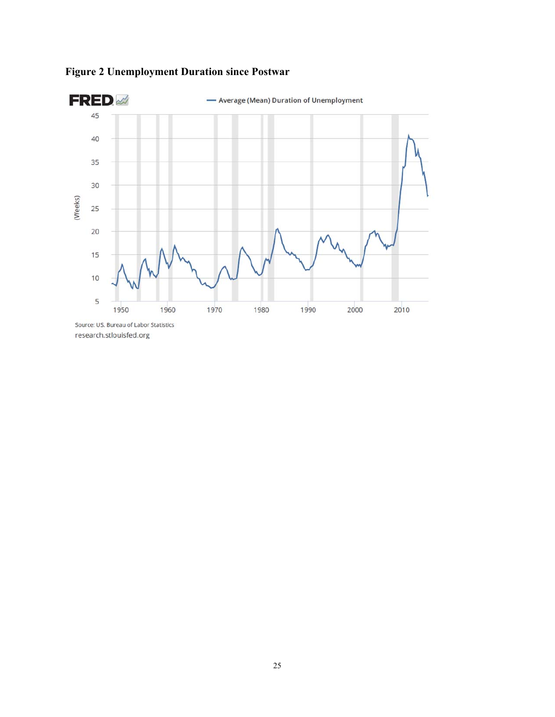

## **Figure 2 Unemployment Duration since Postwar**

research.stlouisfed.org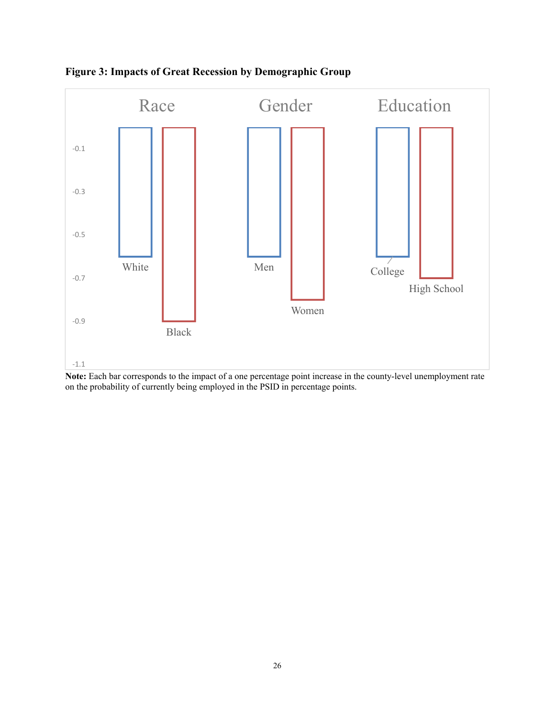

**Figure 3: Impacts of Great Recession by Demographic Group** 

**Note:** Each bar corresponds to the impact of a one percentage point increase in the county-level unemployment rate on the probability of currently being employed in the PSID in percentage points.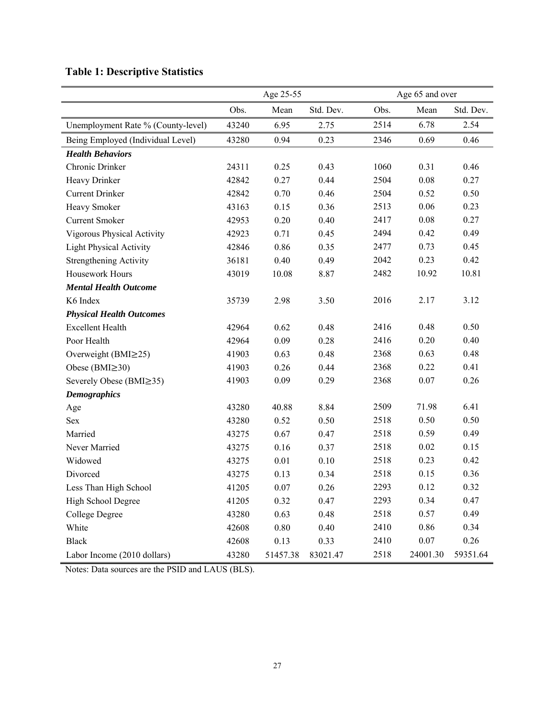|                                    | Age 25-55 |          |           | Age 65 and over |          |           |  |
|------------------------------------|-----------|----------|-----------|-----------------|----------|-----------|--|
|                                    | Obs.      | Mean     | Std. Dev. | Obs.            | Mean     | Std. Dev. |  |
| Unemployment Rate % (County-level) | 43240     | 6.95     | 2.75      | 2514            | 6.78     | 2.54      |  |
| Being Employed (Individual Level)  | 43280     | 0.94     | 0.23      | 2346            | 0.69     | 0.46      |  |
| <b>Health Behaviors</b>            |           |          |           |                 |          |           |  |
| Chronic Drinker                    | 24311     | 0.25     | 0.43      | 1060            | 0.31     | 0.46      |  |
| Heavy Drinker                      | 42842     | 0.27     | 0.44      | 2504            | 0.08     | 0.27      |  |
| <b>Current Drinker</b>             | 42842     | 0.70     | 0.46      | 2504            | 0.52     | 0.50      |  |
| Heavy Smoker                       | 43163     | 0.15     | 0.36      | 2513            | 0.06     | 0.23      |  |
| <b>Current Smoker</b>              | 42953     | 0.20     | 0.40      | 2417            | 0.08     | 0.27      |  |
| Vigorous Physical Activity         | 42923     | 0.71     | 0.45      | 2494            | 0.42     | 0.49      |  |
| <b>Light Physical Activity</b>     | 42846     | 0.86     | 0.35      | 2477            | 0.73     | 0.45      |  |
| <b>Strengthening Activity</b>      | 36181     | 0.40     | 0.49      | 2042            | 0.23     | 0.42      |  |
| Housework Hours                    | 43019     | 10.08    | 8.87      | 2482            | 10.92    | 10.81     |  |
| <b>Mental Health Outcome</b>       |           |          |           |                 |          |           |  |
| K6 Index                           | 35739     | 2.98     | 3.50      | 2016            | 2.17     | 3.12      |  |
| <b>Physical Health Outcomes</b>    |           |          |           |                 |          |           |  |
| <b>Excellent Health</b>            | 42964     | 0.62     | 0.48      | 2416            | 0.48     | 0.50      |  |
| Poor Health                        | 42964     | 0.09     | 0.28      | 2416            | 0.20     | 0.40      |  |
| Overweight ( $BMI \geq 25$ )       | 41903     | 0.63     | 0.48      | 2368            | 0.63     | 0.48      |  |
| Obese (BMI $\geq$ 30)              | 41903     | 0.26     | 0.44      | 2368            | 0.22     | 0.41      |  |
| Severely Obese (BMI≥35)            | 41903     | 0.09     | 0.29      | 2368            | 0.07     | 0.26      |  |
| <b>Demographics</b>                |           |          |           |                 |          |           |  |
| Age                                | 43280     | 40.88    | 8.84      | 2509            | 71.98    | 6.41      |  |
| Sex                                | 43280     | 0.52     | 0.50      | 2518            | 0.50     | 0.50      |  |
| Married                            | 43275     | 0.67     | 0.47      | 2518            | 0.59     | 0.49      |  |
| Never Married                      | 43275     | 0.16     | 0.37      | 2518            | 0.02     | 0.15      |  |
| Widowed                            | 43275     | 0.01     | 0.10      | 2518            | 0.23     | 0.42      |  |
| Divorced                           | 43275     | 0.13     | 0.34      | 2518            | 0.15     | 0.36      |  |
| Less Than High School              | 41205     | 0.07     | 0.26      | 2293            | 0.12     | 0.32      |  |
| High School Degree                 | 41205     | 0.32     | 0.47      | 2293            | 0.34     | 0.47      |  |
| College Degree                     | 43280     | 0.63     | 0.48      | 2518            | 0.57     | 0.49      |  |
| White                              | 42608     | $0.80\,$ | 0.40      | 2410            | 0.86     | 0.34      |  |
| <b>Black</b>                       | 42608     | 0.13     | 0.33      | 2410            | $0.07\,$ | 0.26      |  |
| Labor Income (2010 dollars)        | 43280     | 51457.38 | 83021.47  | 2518            | 24001.30 | 59351.64  |  |

## **Table 1: Descriptive Statistics**

Notes: Data sources are the PSID and LAUS (BLS).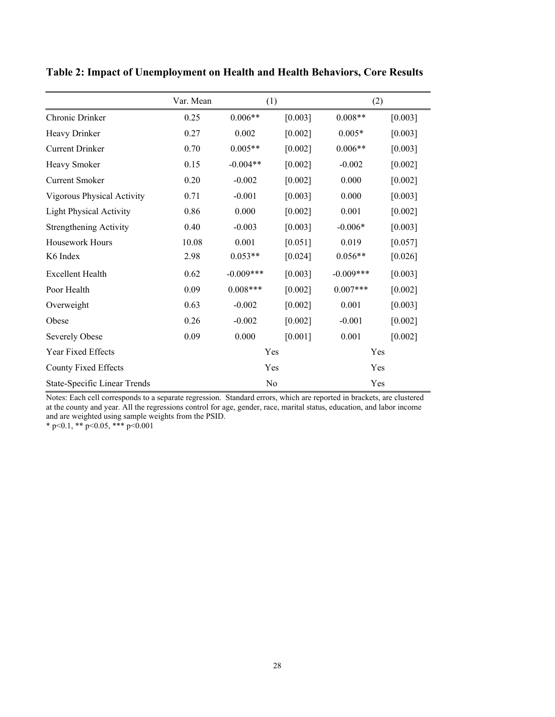|                                     | Var. Mean | (1)         |         | (2)         |           |
|-------------------------------------|-----------|-------------|---------|-------------|-----------|
| Chronic Drinker                     | 0.25      | $0.006**$   | [0.003] | $0.008**$   | [0.003]   |
| Heavy Drinker                       | 0.27      | 0.002       | [0.002] | $0.005*$    | [0.003]   |
| <b>Current Drinker</b>              | 0.70      | $0.005**$   | [0.002] | $0.006**$   | [0.003]   |
| Heavy Smoker                        | 0.15      | $-0.004**$  | [0.002] | $-0.002$    | [0.002]   |
| <b>Current Smoker</b>               | 0.20      | $-0.002$    | [0.002] | 0.000       | [0.002]   |
| Vigorous Physical Activity          | 0.71      | $-0.001$    | [0.003] | 0.000       | [0.003]   |
| <b>Light Physical Activity</b>      | 0.86      | 0.000       | [0.002] | 0.001       | [0.002]   |
| <b>Strengthening Activity</b>       | 0.40      | $-0.003$    | [0.003] | $-0.006*$   | [0.003]   |
| Housework Hours                     | 10.08     | 0.001       | [0.051] | 0.019       | [0.057]   |
| K6 Index                            | 2.98      | $0.053**$   | [0.024] | $0.056**$   | $[0.026]$ |
| <b>Excellent Health</b>             | 0.62      | $-0.009***$ | [0.003] | $-0.009***$ | [0.003]   |
| Poor Health                         | 0.09      | $0.008***$  | [0.002] | $0.007***$  | [0.002]   |
| Overweight                          | 0.63      | $-0.002$    | [0.002] | 0.001       | [0.003]   |
| Obese                               | 0.26      | $-0.002$    | [0.002] | $-0.001$    | [0.002]   |
| <b>Severely Obese</b>               | 0.09      | 0.000       | [0.001] | 0.001       | [0.002]   |
| Year Fixed Effects                  |           | Yes         |         | Yes         |           |
| County Fixed Effects                |           | Yes         |         | Yes         |           |
| <b>State-Specific Linear Trends</b> |           | No          |         | Yes         |           |

**Table 2: Impact of Unemployment on Health and Health Behaviors, Core Results** 

Notes: Each cell corresponds to a separate regression. Standard errors, which are reported in brackets, are clustered at the county and year. All the regressions control for age, gender, race, marital status, education, and labor income and are weighted using sample weights from the PSID.

 $*$  p<0.1,  $*$  p<0.05,  $*$  + p<0.001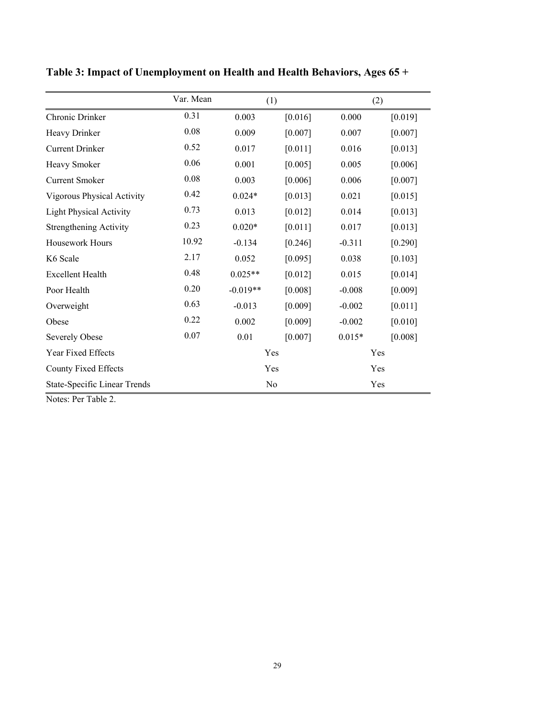|                                | Var. Mean | (1)        |         |          | (2)     |
|--------------------------------|-----------|------------|---------|----------|---------|
| Chronic Drinker                | 0.31      | 0.003      | [0.016] | 0.000    | [0.019] |
| Heavy Drinker                  | 0.08      | 0.009      | [0.007] | 0.007    | [0.007] |
| <b>Current Drinker</b>         | 0.52      | 0.017      | [0.011] | 0.016    | [0.013] |
| Heavy Smoker                   | 0.06      | 0.001      | [0.005] | 0.005    | [0.006] |
| <b>Current Smoker</b>          | 0.08      | 0.003      | [0.006] | 0.006    | [0.007] |
| Vigorous Physical Activity     | 0.42      | $0.024*$   | [0.013] | 0.021    | [0.015] |
| <b>Light Physical Activity</b> | 0.73      | 0.013      | [0.012] | 0.014    | [0.013] |
| <b>Strengthening Activity</b>  | 0.23      | $0.020*$   | [0.011] | 0.017    | [0.013] |
| Housework Hours                | 10.92     | $-0.134$   | [0.246] | $-0.311$ | [0.290] |
| K6 Scale                       | 2.17      | 0.052      | [0.095] | 0.038    | [0.103] |
| <b>Excellent Health</b>        | 0.48      | $0.025**$  | [0.012] | 0.015    | [0.014] |
| Poor Health                    | 0.20      | $-0.019**$ | [0.008] | $-0.008$ | [0.009] |
| Overweight                     | 0.63      | $-0.013$   | [0.009] | $-0.002$ | [0.011] |
| Obese                          | 0.22      | 0.002      | [0.009] | $-0.002$ | [0.010] |
| <b>Severely Obese</b>          | 0.07      | 0.01       | [0.007] | $0.015*$ | [0.008] |
| Year Fixed Effects             |           | Yes        |         |          | Yes     |
| County Fixed Effects           |           | Yes        |         |          | Yes     |
| State-Specific Linear Trends   |           | No         |         |          | Yes     |

**Table 3: Impact of Unemployment on Health and Health Behaviors, Ages 65 +**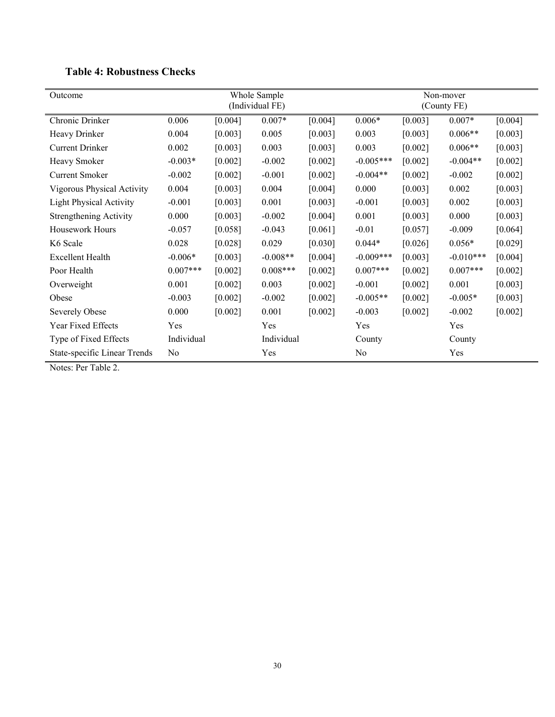| Outcome                        |            | Whole Sample<br>(Individual FE) |            |         |             | Non-mover<br>(County FE) |             |         |  |
|--------------------------------|------------|---------------------------------|------------|---------|-------------|--------------------------|-------------|---------|--|
| Chronic Drinker                | 0.006      | [0.004]                         | $0.007*$   | [0.004] | $0.006*$    | [0.003]                  | $0.007*$    | [0.004] |  |
| Heavy Drinker                  | 0.004      | [0.003]                         | 0.005      | [0.003] | 0.003       | [0.003]                  | $0.006**$   | [0.003] |  |
| Current Drinker                | 0.002      | [0.003]                         | 0.003      | [0.003] | 0.003       | [0.002]                  | $0.006**$   | [0.003] |  |
| Heavy Smoker                   | $-0.003*$  | [0.002]                         | $-0.002$   | [0.002] | $-0.005***$ | [0.002]                  | $-0.004**$  | [0.002] |  |
| <b>Current Smoker</b>          | $-0.002$   | [0.002]                         | $-0.001$   | [0.002] | $-0.004**$  | [0.002]                  | $-0.002$    | [0.002] |  |
| Vigorous Physical Activity     | 0.004      | [0.003]                         | 0.004      | [0.004] | 0.000       | [0.003]                  | 0.002       | [0.003] |  |
| <b>Light Physical Activity</b> | $-0.001$   | [0.003]                         | 0.001      | [0.003] | $-0.001$    | [0.003]                  | 0.002       | [0.003] |  |
| <b>Strengthening Activity</b>  | 0.000      | [0.003]                         | $-0.002$   | [0.004] | 0.001       | [0.003]                  | 0.000       | [0.003] |  |
| Housework Hours                | $-0.057$   | [0.058]                         | $-0.043$   | [0.061] | $-0.01$     | [0.057]                  | $-0.009$    | [0.064] |  |
| K6 Scale                       | 0.028      | [0.028]                         | 0.029      | [0.030] | $0.044*$    | [0.026]                  | $0.056*$    | [0.029] |  |
| <b>Excellent Health</b>        | $-0.006*$  | [0.003]                         | $-0.008**$ | [0.004] | $-0.009***$ | [0.003]                  | $-0.010***$ | [0.004] |  |
| Poor Health                    | $0.007***$ | [0.002]                         | $0.008***$ | [0.002] | $0.007***$  | [0.002]                  | $0.007***$  | [0.002] |  |
| Overweight                     | 0.001      | [0.002]                         | 0.003      | [0.002] | $-0.001$    | [0.002]                  | 0.001       | [0.003] |  |
| Obese                          | $-0.003$   | [0.002]                         | $-0.002$   | [0.002] | $-0.005**$  | [0.002]                  | $-0.005*$   | [0.003] |  |
| Severely Obese                 | 0.000      | [0.002]                         | 0.001      | [0.002] | $-0.003$    | [0.002]                  | $-0.002$    | [0.002] |  |
| Year Fixed Effects             | Yes        |                                 | Yes        |         | Yes         |                          | Yes         |         |  |
| Type of Fixed Effects          | Individual |                                 | Individual |         | County      |                          | County      |         |  |
| State-specific Linear Trends   | No         |                                 | Yes        |         | No          |                          | Yes         |         |  |

## **Table 4: Robustness Checks**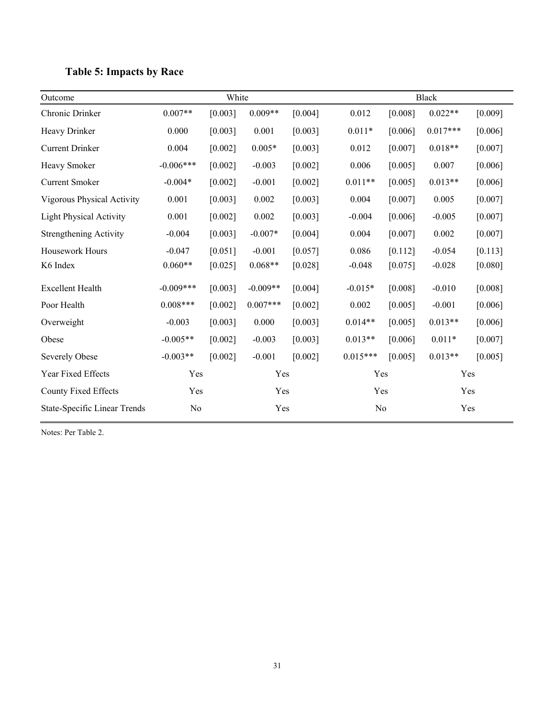|  | <b>Table 5: Impacts by Race</b> |  |
|--|---------------------------------|--|
|--|---------------------------------|--|

| Outcome                             |             | White   |            |         |            | <b>Black</b> |            |         |  |
|-------------------------------------|-------------|---------|------------|---------|------------|--------------|------------|---------|--|
| Chronic Drinker                     | $0.007**$   | [0.003] | $0.009**$  | [0.004] | 0.012      | [0.008]      | $0.022**$  | [0.009] |  |
| Heavy Drinker                       | 0.000       | [0.003] | 0.001      | [0.003] | $0.011*$   | [0.006]      | $0.017***$ | [0.006] |  |
| <b>Current Drinker</b>              | 0.004       | [0.002] | $0.005*$   | [0.003] | 0.012      | [0.007]      | $0.018**$  | [0.007] |  |
| Heavy Smoker                        | $-0.006***$ | [0.002] | $-0.003$   | [0.002] | 0.006      | [0.005]      | 0.007      | [0.006] |  |
| <b>Current Smoker</b>               | $-0.004*$   | [0.002] | $-0.001$   | [0.002] | $0.011**$  | [0.005]      | $0.013**$  | [0.006] |  |
| Vigorous Physical Activity          | 0.001       | [0.003] | 0.002      | [0.003] | 0.004      | [0.007]      | 0.005      | [0.007] |  |
| <b>Light Physical Activity</b>      | 0.001       | [0.002] | 0.002      | [0.003] | $-0.004$   | [0.006]      | $-0.005$   | [0.007] |  |
| <b>Strengthening Activity</b>       | $-0.004$    | [0.003] | $-0.007*$  | [0.004] | 0.004      | [0.007]      | 0.002      | [0.007] |  |
| Housework Hours                     | $-0.047$    | [0.051] | $-0.001$   | [0.057] | 0.086      | [0.112]      | $-0.054$   | [0.113] |  |
| K6 Index                            | $0.060**$   | [0.025] | $0.068**$  | [0.028] | $-0.048$   | [0.075]      | $-0.028$   | [0.080] |  |
| <b>Excellent Health</b>             | $-0.009***$ | [0.003] | $-0.009**$ | [0.004] | $-0.015*$  | [0.008]      | $-0.010$   | [0.008] |  |
| Poor Health                         | $0.008***$  | [0.002] | $0.007***$ | [0.002] | 0.002      | [0.005]      | $-0.001$   | [0.006] |  |
| Overweight                          | $-0.003$    | [0.003] | 0.000      | [0.003] | $0.014**$  | [0.005]      | $0.013**$  | [0.006] |  |
| Obese                               | $-0.005**$  | [0.002] | $-0.003$   | [0.003] | $0.013**$  | [0.006]      | $0.011*$   | [0.007] |  |
| <b>Severely Obese</b>               | $-0.003**$  | [0.002] | $-0.001$   | [0.002] | $0.015***$ | [0.005]      | $0.013**$  | [0.005] |  |
| Year Fixed Effects                  | Yes         |         | Yes        |         | Yes        |              | Yes        |         |  |
| <b>County Fixed Effects</b>         | Yes         |         |            | Yes     |            | Yes          |            | Yes     |  |
| <b>State-Specific Linear Trends</b> | No          |         | Yes        |         | No         |              | Yes        |         |  |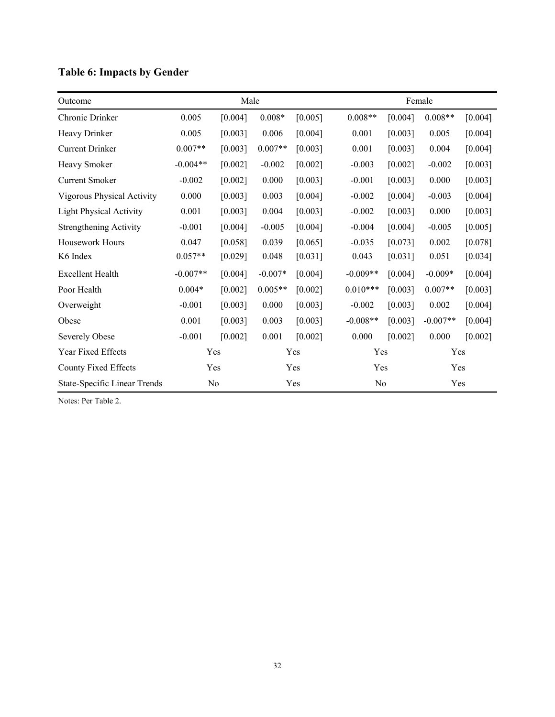| Outcome                        | Male       |         |           |         |            | Female         |            |         |  |  |
|--------------------------------|------------|---------|-----------|---------|------------|----------------|------------|---------|--|--|
| Chronic Drinker                | 0.005      | [0.004] | $0.008*$  | [0.005] | $0.008**$  | [0.004]        | $0.008**$  | [0.004] |  |  |
| Heavy Drinker                  | 0.005      | [0.003] | 0.006     | [0.004] | 0.001      | [0.003]        | 0.005      | [0.004] |  |  |
| <b>Current Drinker</b>         | $0.007**$  | [0.003] | $0.007**$ | [0.003] | 0.001      | [0.003]        | 0.004      | [0.004] |  |  |
| Heavy Smoker                   | $-0.004**$ | [0.002] | $-0.002$  | [0.002] | $-0.003$   | [0.002]        | $-0.002$   | [0.003] |  |  |
| <b>Current Smoker</b>          | $-0.002$   | [0.002] | 0.000     | [0.003] | $-0.001$   | [0.003]        | 0.000      | [0.003] |  |  |
| Vigorous Physical Activity     | 0.000      | [0.003] | 0.003     | [0.004] | $-0.002$   | [0.004]        | $-0.003$   | [0.004] |  |  |
| <b>Light Physical Activity</b> | 0.001      | [0.003] | 0.004     | [0.003] | $-0.002$   | [0.003]        | 0.000      | [0.003] |  |  |
| <b>Strengthening Activity</b>  | $-0.001$   | [0.004] | $-0.005$  | [0.004] | $-0.004$   | [0.004]        | $-0.005$   | [0.005] |  |  |
| Housework Hours                | 0.047      | [0.058] | 0.039     | [0.065] | $-0.035$   | [0.073]        | 0.002      | [0.078] |  |  |
| K6 Index                       | $0.057**$  | [0.029] | 0.048     | [0.031] | 0.043      | [0.031]        | 0.051      | [0.034] |  |  |
| <b>Excellent Health</b>        | $-0.007**$ | [0.004] | $-0.007*$ | [0.004] | $-0.009**$ | [0.004]        | $-0.009*$  | [0.004] |  |  |
| Poor Health                    | $0.004*$   | [0.002] | $0.005**$ | [0.002] | $0.010***$ | [0.003]        | $0.007**$  | [0.003] |  |  |
| Overweight                     | $-0.001$   | [0.003] | 0.000     | [0.003] | $-0.002$   | [0.003]        | 0.002      | [0.004] |  |  |
| Obese                          | 0.001      | [0.003] | 0.003     | [0.003] | $-0.008**$ | [0.003]        | $-0.007**$ | [0.004] |  |  |
| <b>Severely Obese</b>          | $-0.001$   | [0.002] | 0.001     | [0.002] | 0.000      | [0.002]        | 0.000      | [0.002] |  |  |
| Year Fixed Effects             | Yes        |         | Yes       |         |            | Yes            |            | Yes     |  |  |
| County Fixed Effects           | Yes        |         | Yes       |         |            | Yes            |            | Yes     |  |  |
| State-Specific Linear Trends   | No         |         | Yes       |         |            | N <sub>0</sub> |            | Yes     |  |  |

# **Table 6: Impacts by Gender**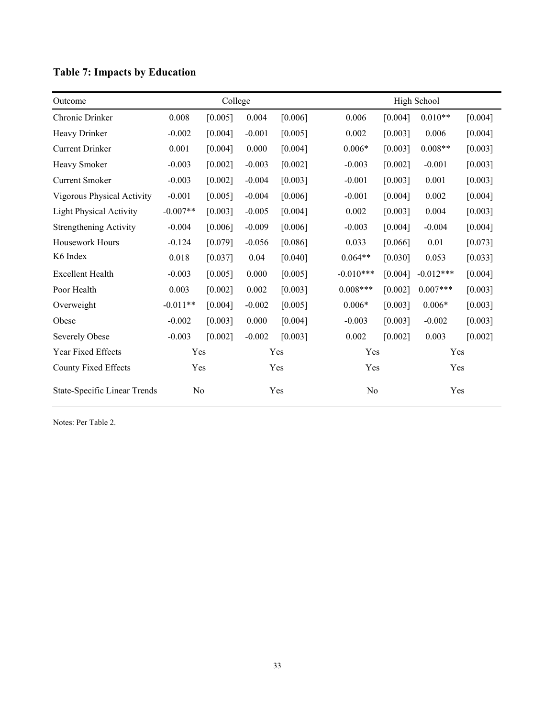| Outcome                             | College    |                |          |         |                | High School |             |         |  |
|-------------------------------------|------------|----------------|----------|---------|----------------|-------------|-------------|---------|--|
| Chronic Drinker                     | 0.008      | [0.005]        | 0.004    | [0.006] | 0.006          | [0.004]     | $0.010**$   | [0.004] |  |
| Heavy Drinker                       | $-0.002$   | [0.004]        | $-0.001$ | [0.005] | 0.002          | [0.003]     | 0.006       | [0.004] |  |
| <b>Current Drinker</b>              | 0.001      | [0.004]        | 0.000    | [0.004] | $0.006*$       | [0.003]     | $0.008**$   | [0.003] |  |
| Heavy Smoker                        | $-0.003$   | [0.002]        | $-0.003$ | [0.002] | $-0.003$       | [0.002]     | $-0.001$    | [0.003] |  |
| <b>Current Smoker</b>               | $-0.003$   | [0.002]        | $-0.004$ | [0.003] | $-0.001$       | [0.003]     | 0.001       | [0.003] |  |
| Vigorous Physical Activity          | $-0.001$   | [0.005]        | $-0.004$ | [0.006] | $-0.001$       | [0.004]     | 0.002       | [0.004] |  |
| <b>Light Physical Activity</b>      | $-0.007**$ | [0.003]        | $-0.005$ | [0.004] | 0.002          | [0.003]     | 0.004       | [0.003] |  |
| <b>Strengthening Activity</b>       | $-0.004$   | [0.006]        | $-0.009$ | [0.006] | $-0.003$       | [0.004]     | $-0.004$    | [0.004] |  |
| Housework Hours                     | $-0.124$   | [0.079]        | $-0.056$ | [0.086] | 0.033          | [0.066]     | 0.01        | [0.073] |  |
| K6 Index                            | 0.018      | [0.037]        | 0.04     | [0.040] | $0.064**$      | [0.030]     | 0.053       | [0.033] |  |
| <b>Excellent Health</b>             | $-0.003$   | [0.005]        | 0.000    | [0.005] | $-0.010***$    | [0.004]     | $-0.012***$ | [0.004] |  |
| Poor Health                         | 0.003      | [0.002]        | 0.002    | [0.003] | $0.008***$     | [0.002]     | $0.007***$  | [0.003] |  |
| Overweight                          | $-0.011**$ | [0.004]        | $-0.002$ | [0.005] | $0.006*$       | [0.003]     | $0.006*$    | [0.003] |  |
| Obese                               | $-0.002$   | [0.003]        | 0.000    | [0.004] | $-0.003$       | [0.003]     | $-0.002$    | [0.003] |  |
| <b>Severely Obese</b>               | $-0.003$   | [0.002]        | $-0.002$ | [0.003] | 0.002          | [0.002]     | 0.003       | [0.002] |  |
| Year Fixed Effects                  | Yes        |                |          | Yes     | Yes            |             |             | Yes     |  |
| <b>County Fixed Effects</b>         | Yes        |                |          | Yes     | Yes            |             | Yes         |         |  |
| <b>State-Specific Linear Trends</b> |            | N <sub>0</sub> |          | Yes     | N <sub>0</sub> |             |             | Yes     |  |

# **Table 7: Impacts by Education**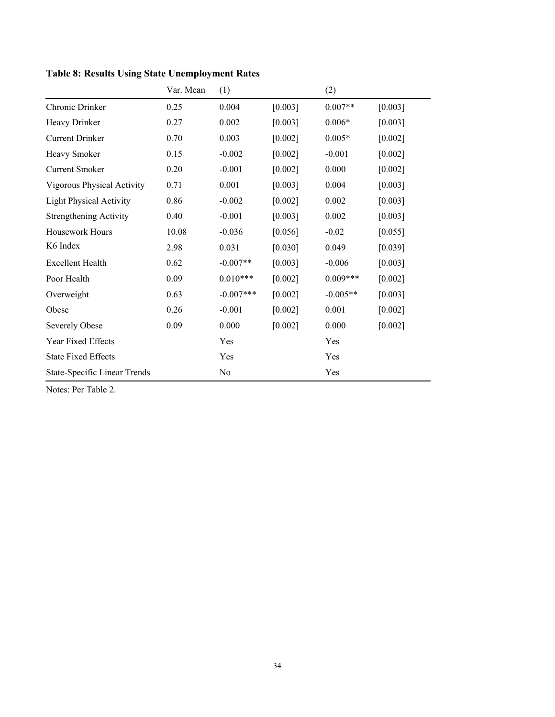|                                | Var. Mean | (1)         |         | (2)        |         |
|--------------------------------|-----------|-------------|---------|------------|---------|
| Chronic Drinker                | 0.25      | 0.004       | [0.003] | $0.007**$  | [0.003] |
| Heavy Drinker                  | 0.27      | 0.002       | [0.003] | $0.006*$   | [0.003] |
| <b>Current Drinker</b>         | 0.70      | 0.003       | [0.002] | $0.005*$   | [0.002] |
| Heavy Smoker                   | 0.15      | $-0.002$    | [0.002] | $-0.001$   | [0.002] |
| Current Smoker                 | 0.20      | $-0.001$    | [0.002] | 0.000      | [0.002] |
| Vigorous Physical Activity     | 0.71      | 0.001       | [0.003] | 0.004      | [0.003] |
| <b>Light Physical Activity</b> | 0.86      | $-0.002$    | [0.002] | 0.002      | [0.003] |
| <b>Strengthening Activity</b>  | 0.40      | $-0.001$    | [0.003] | 0.002      | [0.003] |
| Housework Hours                | 10.08     | $-0.036$    | [0.056] | $-0.02$    | [0.055] |
| K6 Index                       | 2.98      | 0.031       | [0.030] | 0.049      | [0.039] |
| <b>Excellent Health</b>        | 0.62      | $-0.007**$  | [0.003] | $-0.006$   | [0.003] |
| Poor Health                    | 0.09      | $0.010***$  | [0.002] | $0.009***$ | [0.002] |
| Overweight                     | 0.63      | $-0.007***$ | [0.002] | $-0.005**$ | [0.003] |
| Obese                          | 0.26      | $-0.001$    | [0.002] | 0.001      | [0.002] |
| <b>Severely Obese</b>          | 0.09      | 0.000       | [0.002] | 0.000      | [0.002] |
| Year Fixed Effects             |           | Yes         |         | Yes        |         |
| <b>State Fixed Effects</b>     |           | Yes         |         | Yes        |         |
| State-Specific Linear Trends   |           | No          |         | Yes        |         |

**Table 8: Results Using State Unemployment Rates**